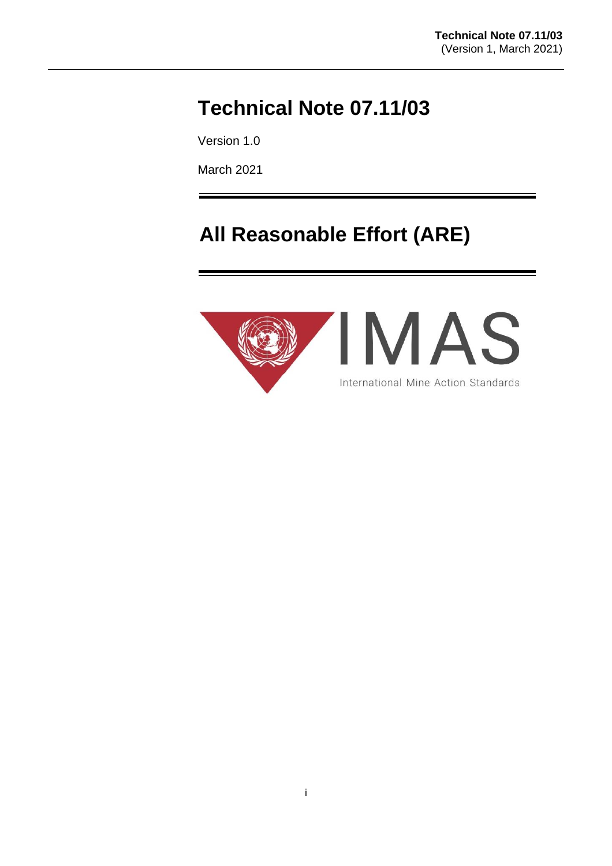# **Technical Note 07.11/03**

Version 1.0

March 2021

# **All Reasonable Effort (ARE)**

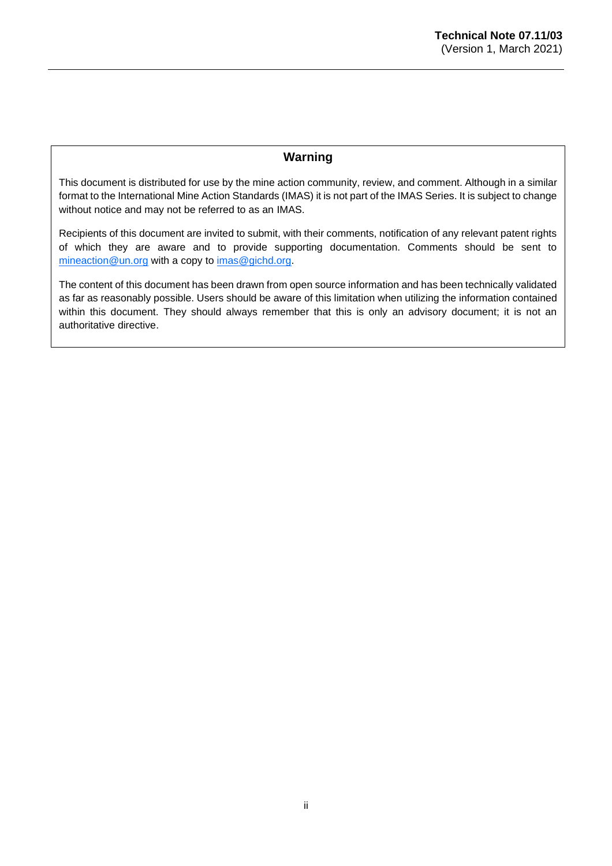# **Warning**

This document is distributed for use by the mine action community, review, and comment. Although in a similar format to the International Mine Action Standards (IMAS) it is not part of the IMAS Series. It is subject to change without notice and may not be referred to as an IMAS.

Recipients of this document are invited to submit, with their comments, notification of any relevant patent rights of which they are aware and to provide supporting documentation. Comments should be sent to [mineaction@un.org](mailto:mineaction@un.org) with a copy to [imas@gichd.org.](mailto:imas@gichd.org)

The content of this document has been drawn from open source information and has been technically validated as far as reasonably possible. Users should be aware of this limitation when utilizing the information contained within this document. They should always remember that this is only an advisory document; it is not an authoritative directive.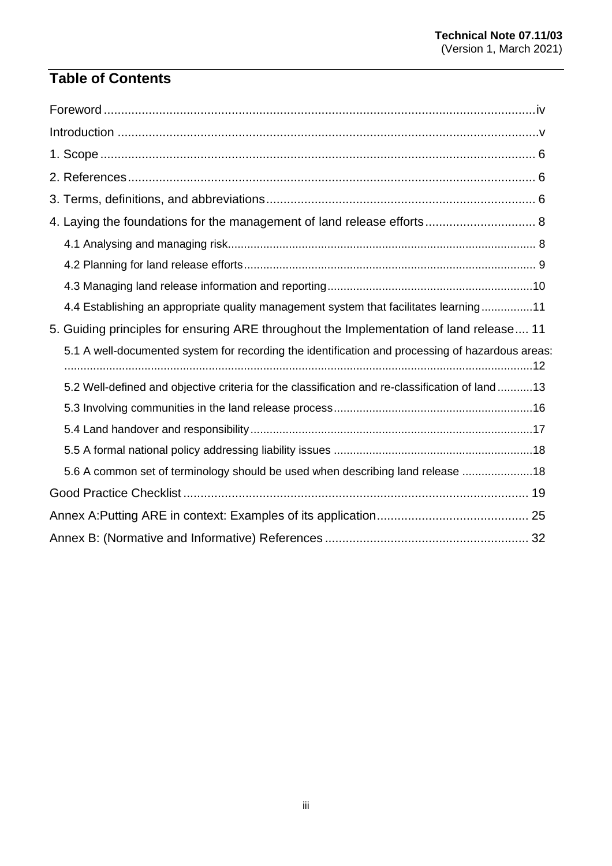# **Table of Contents**

| 4.4 Establishing an appropriate quality management system that facilitates learning11            |
|--------------------------------------------------------------------------------------------------|
| 5. Guiding principles for ensuring ARE throughout the Implementation of land release 11          |
| 5.1 A well-documented system for recording the identification and processing of hazardous areas: |
| 5.2 Well-defined and objective criteria for the classification and re-classification of land 13  |
|                                                                                                  |
|                                                                                                  |
|                                                                                                  |
| 5.6 A common set of terminology should be used when describing land release 18                   |
|                                                                                                  |
|                                                                                                  |
|                                                                                                  |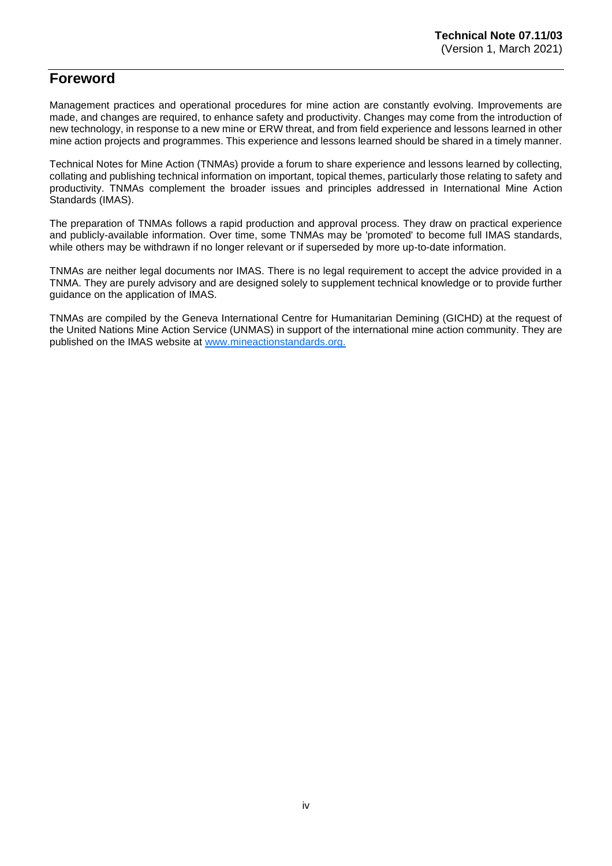# <span id="page-3-0"></span>**Foreword**

Management practices and operational procedures for mine action are constantly evolving. Improvements are made, and changes are required, to enhance safety and productivity. Changes may come from the introduction of new technology, in response to a new mine or ERW threat, and from field experience and lessons learned in other mine action projects and programmes. This experience and lessons learned should be shared in a timely manner.

Technical Notes for Mine Action (TNMAs) provide a forum to share experience and lessons learned by collecting, collating and publishing technical information on important, topical themes, particularly those relating to safety and productivity. TNMAs complement the broader issues and principles addressed in International Mine Action Standards (IMAS).

The preparation of TNMAs follows a rapid production and approval process. They draw on practical experience and publicly-available information. Over time, some TNMAs may be 'promoted' to become full IMAS standards, while others may be withdrawn if no longer relevant or if superseded by more up-to-date information.

TNMAs are neither legal documents nor IMAS. There is no legal requirement to accept the advice provided in a TNMA. They are purely advisory and are designed solely to supplement technical knowledge or to provide further guidance on the application of IMAS.

TNMAs are compiled by the Geneva International Centre for Humanitarian Demining (GICHD) at the request of the United Nations Mine Action Service (UNMAS) in support of the international mine action community. They are published on the IMAS website at [www.mineactionstandards.org.](http://www.mineactionstandards.org/)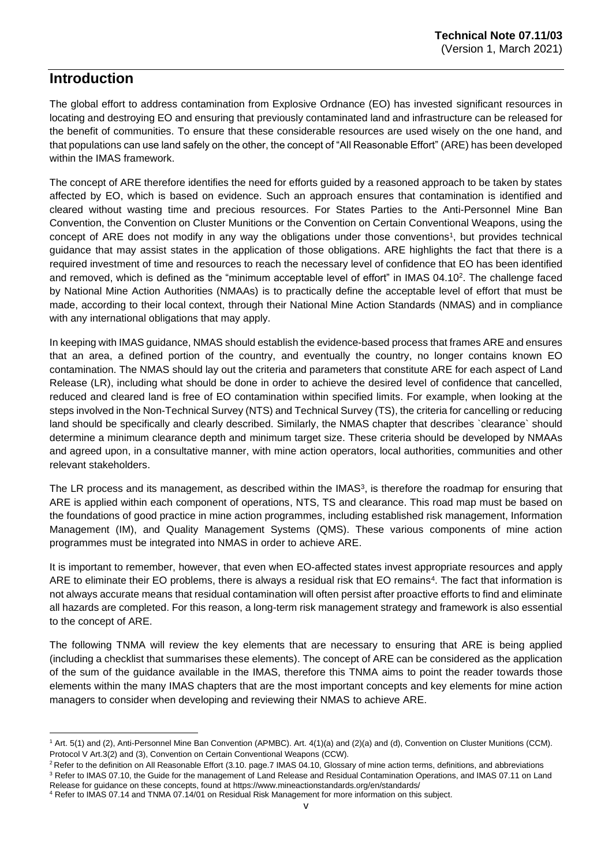# <span id="page-4-0"></span>**Introduction**

The global effort to address contamination from Explosive Ordnance (EO) has invested significant resources in locating and destroying EO and ensuring that previously contaminated land and infrastructure can be released for the benefit of communities. To ensure that these considerable resources are used wisely on the one hand, and that populations can use land safely on the other, the concept of "All Reasonable Effort" (ARE) has been developed within the IMAS framework.

The concept of ARE therefore identifies the need for efforts guided by a reasoned approach to be taken by states affected by EO, which is based on evidence. Such an approach ensures that contamination is identified and cleared without wasting time and precious resources. For States Parties to the Anti-Personnel Mine Ban Convention, the Convention on Cluster Munitions or the Convention on Certain Conventional Weapons, using the concept of ARE does not modify in any way the obligations under those conventions<sup>1</sup>, but provides technical guidance that may assist states in the application of those obligations. ARE highlights the fact that there is a required investment of time and resources to reach the necessary level of confidence that EO has been identified and removed, which is defined as the "minimum acceptable level of effort" in IMAS 04.10<sup>2</sup>. The challenge faced by National Mine Action Authorities (NMAAs) is to practically define the acceptable level of effort that must be made, according to their local context, through their National Mine Action Standards (NMAS) and in compliance with any international obligations that may apply.

In keeping with IMAS guidance, NMAS should establish the evidence-based process that frames ARE and ensures that an area, a defined portion of the country, and eventually the country, no longer contains known EO contamination. The NMAS should lay out the criteria and parameters that constitute ARE for each aspect of Land Release (LR), including what should be done in order to achieve the desired level of confidence that cancelled, reduced and cleared land is free of EO contamination within specified limits. For example, when looking at the steps involved in the Non-Technical Survey (NTS) and Technical Survey (TS), the criteria for cancelling or reducing land should be specifically and clearly described. Similarly, the NMAS chapter that describes `clearance` should determine a minimum clearance depth and minimum target size. These criteria should be developed by NMAAs and agreed upon, in a consultative manner, with mine action operators, local authorities, communities and other relevant stakeholders.

The LR process and its management, as described within the IMAS<sup>3</sup>, is therefore the roadmap for ensuring that ARE is applied within each component of operations, NTS, TS and clearance. This road map must be based on the foundations of good practice in mine action programmes, including established risk management, Information Management (IM), and Quality Management Systems (QMS). These various components of mine action programmes must be integrated into NMAS in order to achieve ARE.

It is important to remember, however, that even when EO-affected states invest appropriate resources and apply ARE to eliminate their EO problems, there is always a residual risk that EO remains<sup>4</sup>. The fact that information is not always accurate means that residual contamination will often persist after proactive efforts to find and eliminate all hazards are completed. For this reason, a long-term risk management strategy and framework is also essential to the concept of ARE.

The following TNMA will review the key elements that are necessary to ensuring that ARE is being applied (including a checklist that summarises these elements). The concept of ARE can be considered as the application of the sum of the guidance available in the IMAS, therefore this TNMA aims to point the reader towards those elements within the many IMAS chapters that are the most important concepts and key elements for mine action managers to consider when developing and reviewing their NMAS to achieve ARE.

<sup>1</sup> Art. 5(1) and (2), Anti-Personnel Mine Ban Convention (APMBC). Art. 4(1)(a) and (2)(a) and (d), Convention on Cluster Munitions (CCM). Protocol V Art.3(2) and (3), Convention on Certain Conventional Weapons (CCW).

<sup>&</sup>lt;sup>2</sup> Refer to the definition on All Reasonable Effort (3.10. page.7 IMAS 04.10, Glossary of mine action terms, definitions, and abbreviations <sup>3</sup> Refer to IMAS 07.10, the Guide for the management of Land Release and Residual Contamination Operations, and IMAS 07.11 on Land Release for guidance on these concepts, found a[t https://www.mineactionstandards.org/en/standards/](https://www.mineactionstandards.org/en/standards/)

<sup>4</sup> Refer to IMAS 07.14 and TNMA 07.14/01 on Residual Risk Management for more information on this subject.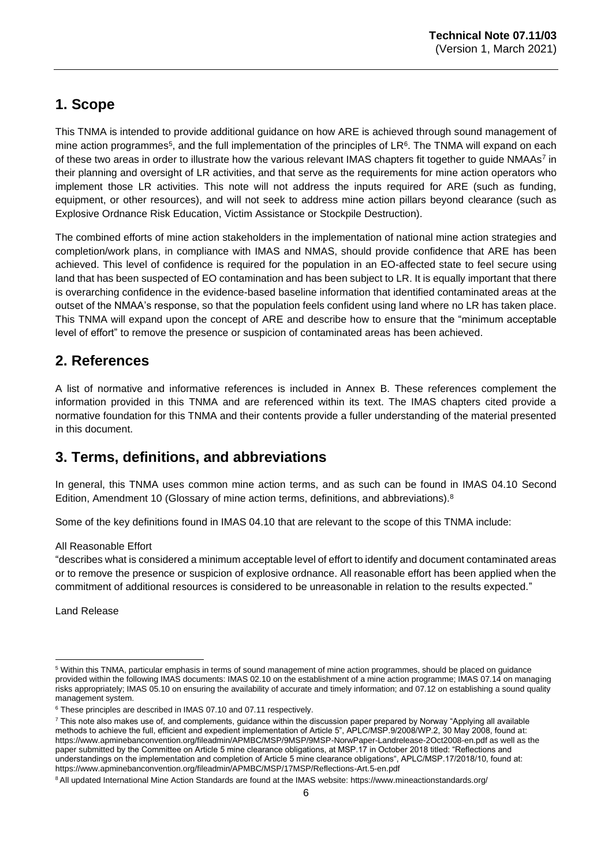# <span id="page-5-0"></span>**1. Scope**

This TNMA is intended to provide additional guidance on how ARE is achieved through sound management of mine action programmes<sup>5</sup>, and the full implementation of the principles of LR<sup>6</sup>. The TNMA will expand on each of these two areas in order to illustrate how the various relevant IMAS chapters fit together to guide NMAAs<sup>7</sup> in their planning and oversight of LR activities, and that serve as the requirements for mine action operators who implement those LR activities. This note will not address the inputs required for ARE (such as funding, equipment, or other resources), and will not seek to address mine action pillars beyond clearance (such as Explosive Ordnance Risk Education, Victim Assistance or Stockpile Destruction).

The combined efforts of mine action stakeholders in the implementation of national mine action strategies and completion/work plans, in compliance with IMAS and NMAS, should provide confidence that ARE has been achieved. This level of confidence is required for the population in an EO-affected state to feel secure using land that has been suspected of EO contamination and has been subject to LR. It is equally important that there is overarching confidence in the evidence-based baseline information that identified contaminated areas at the outset of the NMAA's response, so that the population feels confident using land where no LR has taken place. This TNMA will expand upon the concept of ARE and describe how to ensure that the "minimum acceptable level of effort" to remove the presence or suspicion of contaminated areas has been achieved.

# <span id="page-5-1"></span>**2. References**

A list of normative and informative references is included in Annex B. These references complement the information provided in this TNMA and are referenced within its text. The IMAS chapters cited provide a normative foundation for this TNMA and their contents provide a fuller understanding of the material presented in this document.

# <span id="page-5-2"></span>**3. Terms, definitions, and abbreviations**

In general, this TNMA uses common mine action terms, and as such can be found in IMAS 04.10 Second Edition, Amendment 10 (Glossary of mine action terms, definitions, and abbreviations).<sup>8</sup>

Some of the key definitions found in IMAS 04.10 that are relevant to the scope of this TNMA include:

#### All Reasonable Effort

"describes what is considered a minimum acceptable level of effort to identify and document contaminated areas or to remove the presence or suspicion of explosive ordnance. All reasonable effort has been applied when the commitment of additional resources is considered to be unreasonable in relation to the results expected."

Land Release

<sup>5</sup> Within this TNMA, particular emphasis in terms of sound management of mine action programmes, should be placed on guidance provided within the following IMAS documents: IMAS 02.10 on the establishment of a mine action programme; IMAS 07.14 on managing risks appropriately; IMAS 05.10 on ensuring the availability of accurate and timely information; and 07.12 on establishing a sound quality management system.

<sup>&</sup>lt;sup>6</sup> These principles are described in IMAS 07.10 and 07.11 respectively.

<sup>7</sup> This note also makes use of, and complements, guidance within the discussion paper prepared by Norway "Applying all available methods to achieve the full, efficient and expedient implementation of Article 5", APLC/MSP.9/2008/WP.2, 30 May 2008, found at: <https://www.apminebanconvention.org/fileadmin/APMBC/MSP/9MSP/9MSP-NorwPaper-Landrelease-2Oct2008-en.pdf> as well as the paper submitted by the Committee on Article 5 mine clearance obligations, at MSP.17 in October 2018 titled: "Reflections and understandings on the implementation and completion of Article 5 mine clearance obligations", APLC/MSP.17/2018/10, found at: <https://www.apminebanconvention.org/fileadmin/APMBC/MSP/17MSP/Reflections-Art.5-en.pdf>

<sup>8</sup> All updated International Mine Action Standards are found at the IMAS website:<https://www.mineactionstandards.org/>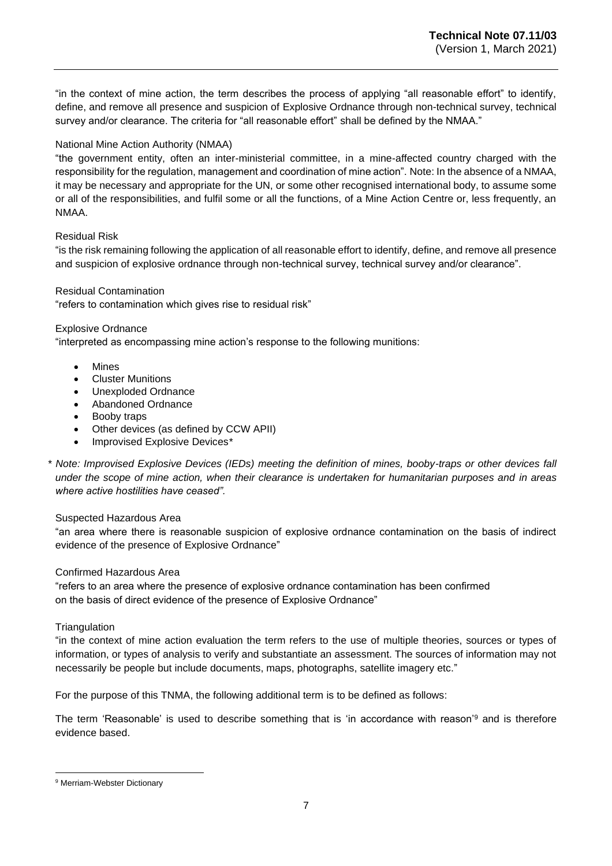"in the context of mine action, the term describes the process of applying "all reasonable effort" to identify, define, and remove all presence and suspicion of Explosive Ordnance through non-technical survey, technical survey and/or clearance. The criteria for "all reasonable effort" shall be defined by the NMAA."

#### National Mine Action Authority (NMAA)

"the government entity, often an inter-ministerial committee, in a mine-affected country charged with the responsibility for the regulation, management and coordination of mine action". Note: In the absence of a NMAA, it may be necessary and appropriate for the UN, or some other recognised international body, to assume some or all of the responsibilities, and fulfil some or all the functions, of a Mine Action Centre or, less frequently, an NMAA.

#### Residual Risk

"is the risk remaining following the application of all reasonable effort to identify, define, and remove all presence and suspicion of explosive ordnance through non-technical survey, technical survey and/or clearance".

#### Residual Contamination

"refers to contamination which gives rise to residual risk"

#### Explosive Ordnance

"interpreted as encompassing mine action's response to the following munitions:

- Mines
- Cluster Munitions
- Unexploded Ordnance
- Abandoned Ordnance
- Booby traps
- Other devices (as defined by CCW APII)
- Improvised Explosive Devices*\**

\* *Note: Improvised Explosive Devices (IEDs) meeting the definition of mines, booby-traps or other devices fall under the scope of mine action, when their clearance is undertaken for humanitarian purposes and in areas where active hostilities have ceased".*

#### Suspected Hazardous Area

"an area where there is reasonable suspicion of explosive ordnance contamination on the basis of indirect evidence of the presence of Explosive Ordnance"

#### Confirmed Hazardous Area

"refers to an area where the presence of explosive ordnance contamination has been confirmed on the basis of direct evidence of the presence of Explosive Ordnance"

#### **Triangulation**

"in the context of mine action evaluation the term refers to the use of multiple theories, sources or types of information, or types of analysis to verify and substantiate an assessment. The sources of information may not necessarily be people but include documents, maps, photographs, satellite imagery etc."

For the purpose of this TNMA, the following additional term is to be defined as follows:

The term 'Reasonable' is used to describe something that is 'in accordance with reason'<sup>9</sup> and is therefore evidence based.

<sup>9</sup> Merriam-Webster Dictionary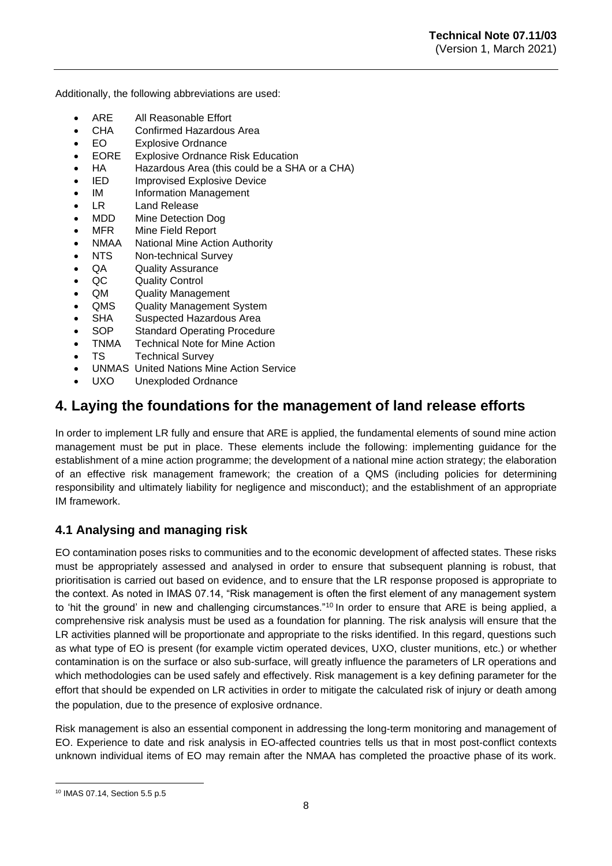Additionally, the following abbreviations are used:

- ARE All Reasonable Effort
- CHA Confirmed Hazardous Area
- EO Explosive Ordnance
- EORE Explosive Ordnance Risk Education
- HA Hazardous Area (this could be a SHA or a CHA)
- IED Improvised Explosive Device
- IM Information Management
- LR Land Release
- MDD Mine Detection Dog
- MFR Mine Field Report
- NMAA National Mine Action Authority
- NTS Non-technical Survey
- QA Quality Assurance
- QC Quality Control
- QM Quality Management
- QMS Quality Management System
- SHA Suspected Hazardous Area
- SOP Standard Operating Procedure
- TNMA Technical Note for Mine Action
- TS Technical Survey
- UNMAS United Nations Mine Action Service
- UXO Unexploded Ordnance

# <span id="page-7-0"></span>**4. Laying the foundations for the management of land release efforts**

In order to implement LR fully and ensure that ARE is applied, the fundamental elements of sound mine action management must be put in place. These elements include the following: implementing guidance for the establishment of a mine action programme; the development of a national mine action strategy; the elaboration of an effective risk management framework; the creation of a QMS (including policies for determining responsibility and ultimately liability for negligence and misconduct); and the establishment of an appropriate IM framework.

# <span id="page-7-1"></span>**4.1 Analysing and managing risk**

EO contamination poses risks to communities and to the economic development of affected states. These risks must be appropriately assessed and analysed in order to ensure that subsequent planning is robust, that prioritisation is carried out based on evidence, and to ensure that the LR response proposed is appropriate to the context. As noted in IMAS 07.14, "Risk management is often the first element of any management system to 'hit the ground' in new and challenging circumstances."<sup>10</sup> In order to ensure that ARE is being applied, a comprehensive risk analysis must be used as a foundation for planning. The risk analysis will ensure that the LR activities planned will be proportionate and appropriate to the risks identified. In this regard, questions such as what type of EO is present (for example victim operated devices, UXO, cluster munitions, etc.) or whether contamination is on the surface or also sub-surface, will greatly influence the parameters of LR operations and which methodologies can be used safely and effectively. Risk management is a key defining parameter for the effort that should be expended on LR activities in order to mitigate the calculated risk of injury or death among the population, due to the presence of explosive ordnance.

Risk management is also an essential component in addressing the long-term monitoring and management of EO. Experience to date and risk analysis in EO-affected countries tells us that in most post-conflict contexts unknown individual items of EO may remain after the NMAA has completed the proactive phase of its work.

<sup>10</sup> IMAS 07.14, Section 5.5 p.5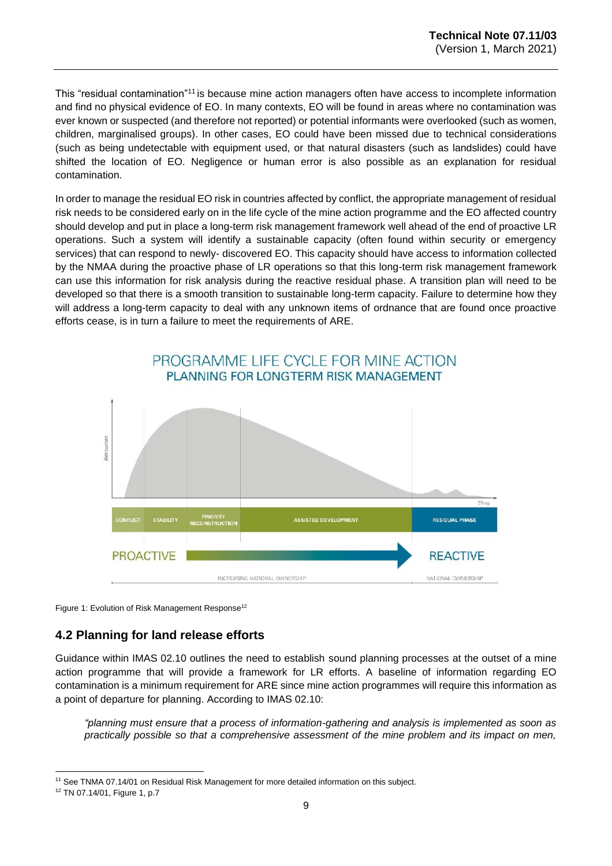This "residual contamination"<sup>11</sup> is because mine action managers often have access to incomplete information and find no physical evidence of EO. In many contexts, EO will be found in areas where no contamination was ever known or suspected (and therefore not reported) or potential informants were overlooked (such as women, children, marginalised groups). In other cases, EO could have been missed due to technical considerations (such as being undetectable with equipment used, or that natural disasters (such as landslides) could have shifted the location of EO. Negligence or human error is also possible as an explanation for residual contamination.

In order to manage the residual EO risk in countries affected by conflict, the appropriate management of residual risk needs to be considered early on in the life cycle of the mine action programme and the EO affected country should develop and put in place a long-term risk management framework well ahead of the end of proactive LR operations. Such a system will identify a sustainable capacity (often found within security or emergency services) that can respond to newly- discovered EO. This capacity should have access to information collected by the NMAA during the proactive phase of LR operations so that this long-term risk management framework can use this information for risk analysis during the reactive residual phase. A transition plan will need to be developed so that there is a smooth transition to sustainable long-term capacity. Failure to determine how they will address a long-term capacity to deal with any unknown items of ordnance that are found once proactive efforts cease, is in turn a failure to meet the requirements of ARE.



Figure 1: Evolution of Risk Management Response<sup>12</sup>

# <span id="page-8-0"></span>**4.2 Planning for land release efforts**

Guidance within IMAS 02.10 outlines the need to establish sound planning processes at the outset of a mine action programme that will provide a framework for LR efforts. A baseline of information regarding EO contamination is a minimum requirement for ARE since mine action programmes will require this information as a point of departure for planning. According to IMAS 02.10:

*"planning must ensure that a process of information-gathering and analysis is implemented as soon as practically possible so that a comprehensive assessment of the mine problem and its impact on men,* 

<sup>11</sup> See TNMA 07.14/01 on Residual Risk Management for more detailed information on this subject.

<sup>12</sup> TN 07.14/01, Figure 1, p.7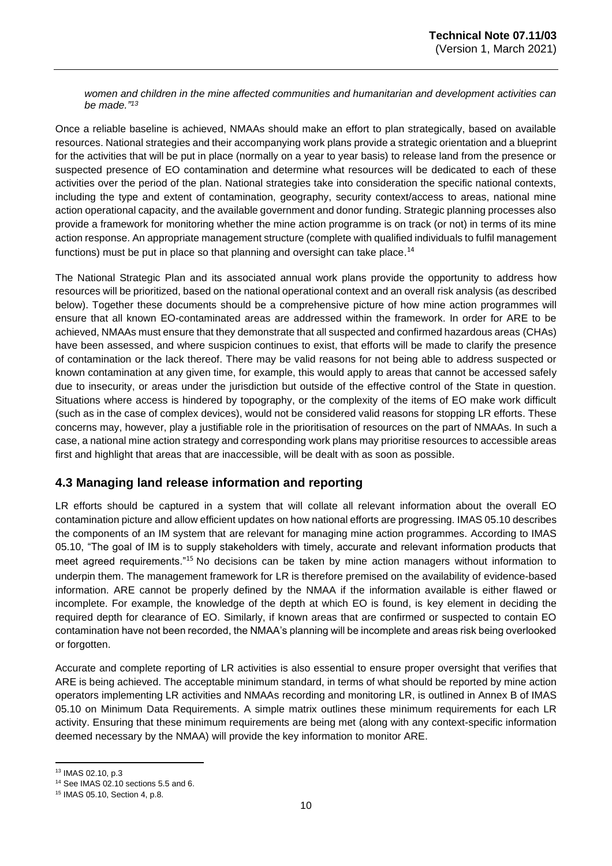*women and children in the mine affected communities and humanitarian and development activities can be made." 13*

Once a reliable baseline is achieved, NMAAs should make an effort to plan strategically, based on available resources. National strategies and their accompanying work plans provide a strategic orientation and a blueprint for the activities that will be put in place (normally on a year to year basis) to release land from the presence or suspected presence of EO contamination and determine what resources will be dedicated to each of these activities over the period of the plan. National strategies take into consideration the specific national contexts, including the type and extent of contamination, geography, security context/access to areas, national mine action operational capacity, and the available government and donor funding. Strategic planning processes also provide a framework for monitoring whether the mine action programme is on track (or not) in terms of its mine action response. An appropriate management structure (complete with qualified individuals to fulfil management functions) must be put in place so that planning and oversight can take place.<sup>14</sup>

The National Strategic Plan and its associated annual work plans provide the opportunity to address how resources will be prioritized, based on the national operational context and an overall risk analysis (as described below). Together these documents should be a comprehensive picture of how mine action programmes will ensure that all known EO-contaminated areas are addressed within the framework. In order for ARE to be achieved, NMAAs must ensure that they demonstrate that all suspected and confirmed hazardous areas (CHAs) have been assessed, and where suspicion continues to exist, that efforts will be made to clarify the presence of contamination or the lack thereof. There may be valid reasons for not being able to address suspected or known contamination at any given time, for example, this would apply to areas that cannot be accessed safely due to insecurity, or areas under the jurisdiction but outside of the effective control of the State in question. Situations where access is hindered by topography, or the complexity of the items of EO make work difficult (such as in the case of complex devices), would not be considered valid reasons for stopping LR efforts. These concerns may, however, play a justifiable role in the prioritisation of resources on the part of NMAAs. In such a case, a national mine action strategy and corresponding work plans may prioritise resources to accessible areas first and highlight that areas that are inaccessible, will be dealt with as soon as possible.

## <span id="page-9-0"></span>**4.3 Managing land release information and reporting**

LR efforts should be captured in a system that will collate all relevant information about the overall EO contamination picture and allow efficient updates on how national efforts are progressing. IMAS 05.10 describes the components of an IM system that are relevant for managing mine action programmes. According to IMAS 05.10, "The goal of IM is to supply stakeholders with timely, accurate and relevant information products that meet agreed requirements."<sup>15</sup> No decisions can be taken by mine action managers without information to underpin them. The management framework for LR is therefore premised on the availability of evidence-based information. ARE cannot be properly defined by the NMAA if the information available is either flawed or incomplete. For example, the knowledge of the depth at which EO is found, is key element in deciding the required depth for clearance of EO. Similarly, if known areas that are confirmed or suspected to contain EO contamination have not been recorded, the NMAA's planning will be incomplete and areas risk being overlooked or forgotten.

Accurate and complete reporting of LR activities is also essential to ensure proper oversight that verifies that ARE is being achieved. The acceptable minimum standard, in terms of what should be reported by mine action operators implementing LR activities and NMAAs recording and monitoring LR, is outlined in Annex B of IMAS 05.10 on Minimum Data Requirements. A simple matrix outlines these minimum requirements for each LR activity. Ensuring that these minimum requirements are being met (along with any context-specific information deemed necessary by the NMAA) will provide the key information to monitor ARE.

<sup>13</sup> IMAS 02.10, p.3

<sup>14</sup> See IMAS 02.10 sections 5.5 and 6.

<sup>15</sup> IMAS 05.10, Section 4, p.8.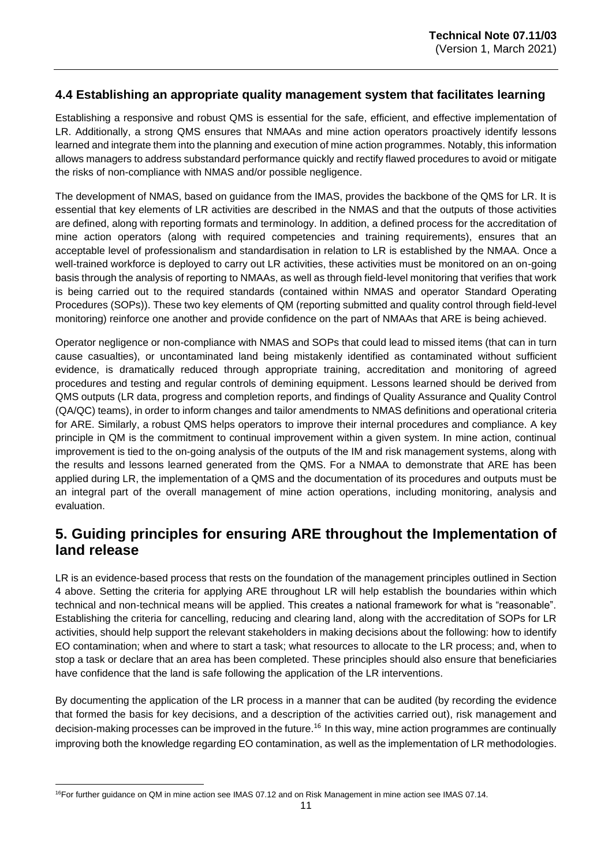## <span id="page-10-0"></span>**4.4 Establishing an appropriate quality management system that facilitates learning**

Establishing a responsive and robust QMS is essential for the safe, efficient, and effective implementation of LR. Additionally, a strong QMS ensures that NMAAs and mine action operators proactively identify lessons learned and integrate them into the planning and execution of mine action programmes. Notably, this information allows managers to address substandard performance quickly and rectify flawed procedures to avoid or mitigate the risks of non-compliance with NMAS and/or possible negligence.

The development of NMAS, based on guidance from the IMAS, provides the backbone of the QMS for LR. It is essential that key elements of LR activities are described in the NMAS and that the outputs of those activities are defined, along with reporting formats and terminology. In addition, a defined process for the accreditation of mine action operators (along with required competencies and training requirements), ensures that an acceptable level of professionalism and standardisation in relation to LR is established by the NMAA. Once a well-trained workforce is deployed to carry out LR activities, these activities must be monitored on an on-going basis through the analysis of reporting to NMAAs, as well as through field-level monitoring that verifies that work is being carried out to the required standards (contained within NMAS and operator Standard Operating Procedures (SOPs)). These two key elements of QM (reporting submitted and quality control through field-level monitoring) reinforce one another and provide confidence on the part of NMAAs that ARE is being achieved.

Operator negligence or non-compliance with NMAS and SOPs that could lead to missed items (that can in turn cause casualties), or uncontaminated land being mistakenly identified as contaminated without sufficient evidence, is dramatically reduced through appropriate training, accreditation and monitoring of agreed procedures and testing and regular controls of demining equipment. Lessons learned should be derived from QMS outputs (LR data, progress and completion reports, and findings of Quality Assurance and Quality Control (QA/QC) teams), in order to inform changes and tailor amendments to NMAS definitions and operational criteria for ARE. Similarly, a robust QMS helps operators to improve their internal procedures and compliance. A key principle in QM is the commitment to continual improvement within a given system. In mine action, continual improvement is tied to the on-going analysis of the outputs of the IM and risk management systems, along with the results and lessons learned generated from the QMS. For a NMAA to demonstrate that ARE has been applied during LR, the implementation of a QMS and the documentation of its procedures and outputs must be an integral part of the overall management of mine action operations, including monitoring, analysis and evaluation.

# <span id="page-10-1"></span>**5. Guiding principles for ensuring ARE throughout the Implementation of land release**

LR is an evidence-based process that rests on the foundation of the management principles outlined in Section 4 above. Setting the criteria for applying ARE throughout LR will help establish the boundaries within which technical and non-technical means will be applied. This creates a national framework for what is "reasonable". Establishing the criteria for cancelling, reducing and clearing land, along with the accreditation of SOPs for LR activities, should help support the relevant stakeholders in making decisions about the following: how to identify EO contamination; when and where to start a task; what resources to allocate to the LR process; and, when to stop a task or declare that an area has been completed. These principles should also ensure that beneficiaries have confidence that the land is safe following the application of the LR interventions.

By documenting the application of the LR process in a manner that can be audited (by recording the evidence that formed the basis for key decisions, and a description of the activities carried out), risk management and decision-making processes can be improved in the future.<sup>16</sup> In this way, mine action programmes are continually improving both the knowledge regarding EO contamination, as well as the implementation of LR methodologies.

<sup>16</sup>For further guidance on QM in mine action see IMAS 07.12 and on Risk Management in mine action see IMAS 07.14.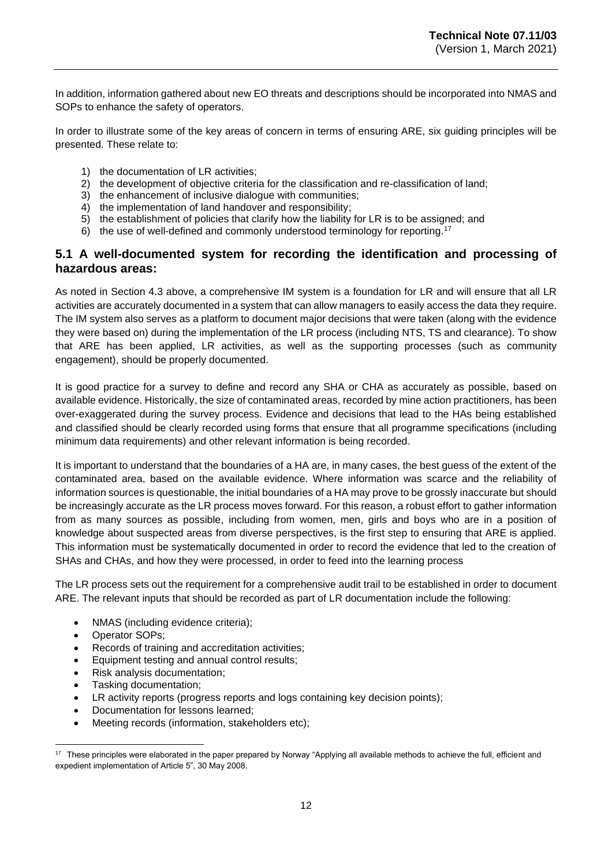In addition, information gathered about new EO threats and descriptions should be incorporated into NMAS and SOPs to enhance the safety of operators.

In order to illustrate some of the key areas of concern in terms of ensuring ARE, six guiding principles will be presented. These relate to:

- 1) the documentation of LR activities;
- 2) the development of objective criteria for the classification and re-classification of land;
- 3) the enhancement of inclusive dialogue with communities;
- 4) the implementation of land handover and responsibility;
- 5) the establishment of policies that clarify how the liability for LR is to be assigned; and
- 6) the use of well-defined and commonly understood terminology for reporting. 17

### <span id="page-11-0"></span>**5.1 A well-documented system for recording the identification and processing of hazardous areas:**

As noted in Section 4.3 above, a comprehensive IM system is a foundation for LR and will ensure that all LR activities are accurately documented in a system that can allow managers to easily access the data they require. The IM system also serves as a platform to document major decisions that were taken (along with the evidence they were based on) during the implementation of the LR process (including NTS, TS and clearance). To show that ARE has been applied, LR activities, as well as the supporting processes (such as community engagement), should be properly documented.

It is good practice for a survey to define and record any SHA or CHA as accurately as possible, based on available evidence. Historically, the size of contaminated areas, recorded by mine action practitioners, has been over-exaggerated during the survey process. Evidence and decisions that lead to the HAs being established and classified should be clearly recorded using forms that ensure that all programme specifications (including minimum data requirements) and other relevant information is being recorded.

It is important to understand that the boundaries of a HA are, in many cases, the best guess of the extent of the contaminated area, based on the available evidence. Where information was scarce and the reliability of information sources is questionable, the initial boundaries of a HA may prove to be grossly inaccurate but should be increasingly accurate as the LR process moves forward. For this reason, a robust effort to gather information from as many sources as possible, including from women, men, girls and boys who are in a position of knowledge about suspected areas from diverse perspectives, is the first step to ensuring that ARE is applied. This information must be systematically documented in order to record the evidence that led to the creation of SHAs and CHAs, and how they were processed, in order to feed into the learning process

The LR process sets out the requirement for a comprehensive audit trail to be established in order to document ARE. The relevant inputs that should be recorded as part of LR documentation include the following:

- NMAS (including evidence criteria);
- Operator SOPs;
- Records of training and accreditation activities;
- Equipment testing and annual control results;
- Risk analysis documentation;
- Tasking documentation;
- LR activity reports (progress reports and logs containing key decision points);
- Documentation for lessons learned;
- Meeting records (information, stakeholders etc);

<sup>&</sup>lt;sup>17</sup> These principles were elaborated in the paper prepared by Norway "Applying all available methods to achieve the full, efficient and expedient implementation of Article 5", 30 May 2008.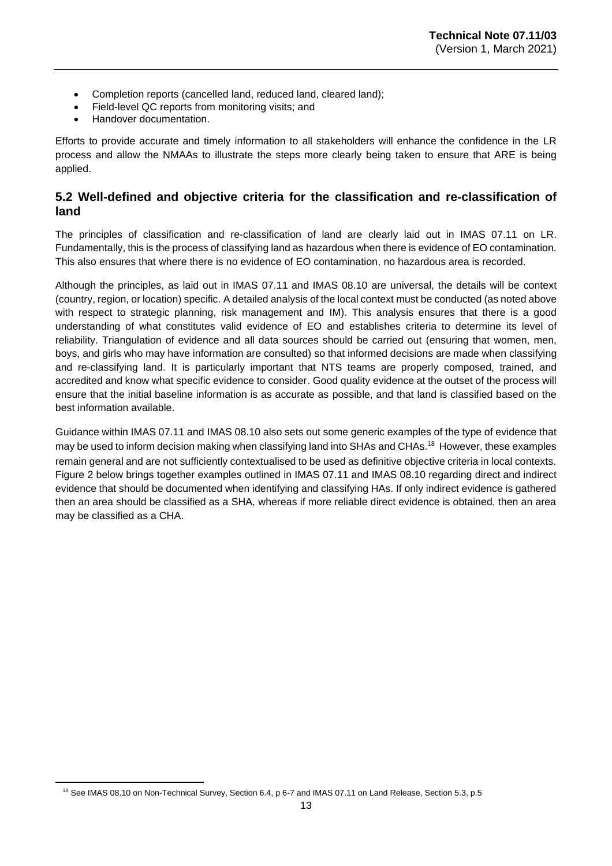- Completion reports (cancelled land, reduced land, cleared land);
- Field-level QC reports from monitoring visits; and
- Handover documentation.

Efforts to provide accurate and timely information to all stakeholders will enhance the confidence in the LR process and allow the NMAAs to illustrate the steps more clearly being taken to ensure that ARE is being applied.

## <span id="page-12-0"></span>**5.2 Well-defined and objective criteria for the classification and re-classification of land**

The principles of classification and re-classification of land are clearly laid out in IMAS 07.11 on LR. Fundamentally, this is the process of classifying land as hazardous when there is evidence of EO contamination. This also ensures that where there is no evidence of EO contamination, no hazardous area is recorded.

Although the principles, as laid out in IMAS 07.11 and IMAS 08.10 are universal, the details will be context (country, region, or location) specific. A detailed analysis of the local context must be conducted (as noted above with respect to strategic planning, risk management and IM). This analysis ensures that there is a good understanding of what constitutes valid evidence of EO and establishes criteria to determine its level of reliability. Triangulation of evidence and all data sources should be carried out (ensuring that women, men, boys, and girls who may have information are consulted) so that informed decisions are made when classifying and re-classifying land. It is particularly important that NTS teams are properly composed, trained, and accredited and know what specific evidence to consider. Good quality evidence at the outset of the process will ensure that the initial baseline information is as accurate as possible, and that land is classified based on the best information available.

Guidance within IMAS 07.11 and IMAS 08.10 also sets out some generic examples of the type of evidence that may be used to inform decision making when classifying land into SHAs and CHAs.<sup>18</sup> However, these examples remain general and are not sufficiently contextualised to be used as definitive objective criteria in local contexts. Figure 2 below brings together examples outlined in IMAS 07.11 and IMAS 08.10 regarding direct and indirect evidence that should be documented when identifying and classifying HAs. If only indirect evidence is gathered then an area should be classified as a SHA, whereas if more reliable direct evidence is obtained, then an area may be classified as a CHA.

<sup>&</sup>lt;sup>18</sup> See IMAS 08.10 on Non-Technical Survey, Section 6.4, p 6-7 and IMAS 07.11 on Land Release, Section 5.3, p.5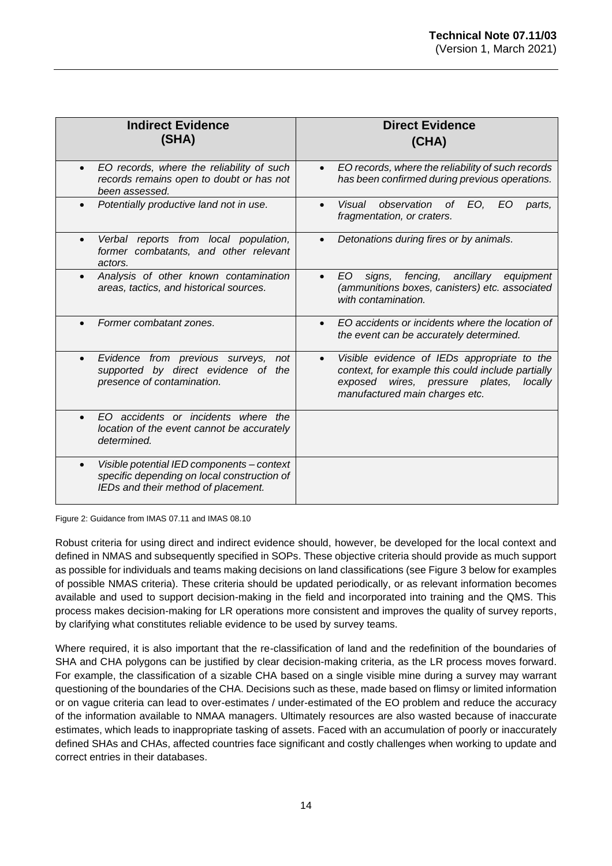| <b>Indirect Evidence</b><br>(SHA)                                                                                                | <b>Direct Evidence</b><br>(CHA)                                                                                                                                                                  |
|----------------------------------------------------------------------------------------------------------------------------------|--------------------------------------------------------------------------------------------------------------------------------------------------------------------------------------------------|
| EO records, where the reliability of such<br>records remains open to doubt or has not<br>been assessed.                          | EO records, where the reliability of such records<br>$\bullet$<br>has been confirmed during previous operations.                                                                                 |
| Potentially productive land not in use.                                                                                          | observation of<br>EO,<br>Visual<br>EO<br>parts.<br>$\bullet$<br>fragmentation, or craters.                                                                                                       |
| Verbal reports from local population,<br>former combatants, and other relevant<br>actors.                                        | Detonations during fires or by animals.                                                                                                                                                          |
| Analysis of other known contamination<br>areas, tactics, and historical sources.                                                 | fencing,<br>ancillary<br>EO.<br>signs,<br>equipment<br>$\bullet$<br>(ammunitions boxes, canisters) etc. associated<br>with contamination.                                                        |
| Former combatant zones.                                                                                                          | EO accidents or incidents where the location of<br>the event can be accurately determined.                                                                                                       |
| Evidence from previous surveys,<br>not<br>$\bullet$<br>supported by direct evidence of<br>the<br>presence of contamination.      | Visible evidence of IEDs appropriate to the<br>$\bullet$<br>context, for example this could include partially<br>wires, pressure plates,<br>exposed<br>locally<br>manufactured main charges etc. |
| EO accidents or incidents where the<br>location of the event cannot be accurately<br>determined.                                 |                                                                                                                                                                                                  |
| Visible potential IED components - context<br>specific depending on local construction of<br>IEDs and their method of placement. |                                                                                                                                                                                                  |

Figure 2: Guidance from IMAS 07.11 and IMAS 08.10

Robust criteria for using direct and indirect evidence should, however, be developed for the local context and defined in NMAS and subsequently specified in SOPs. These objective criteria should provide as much support as possible for individuals and teams making decisions on land classifications (see Figure 3 below for examples of possible NMAS criteria). These criteria should be updated periodically, or as relevant information becomes available and used to support decision-making in the field and incorporated into training and the QMS. This process makes decision-making for LR operations more consistent and improves the quality of survey reports, by clarifying what constitutes reliable evidence to be used by survey teams.

Where required, it is also important that the re-classification of land and the redefinition of the boundaries of SHA and CHA polygons can be justified by clear decision-making criteria, as the LR process moves forward. For example, the classification of a sizable CHA based on a single visible mine during a survey may warrant questioning of the boundaries of the CHA. Decisions such as these, made based on flimsy or limited information or on vague criteria can lead to over-estimates / under-estimated of the EO problem and reduce the accuracy of the information available to NMAA managers. Ultimately resources are also wasted because of inaccurate estimates, which leads to inappropriate tasking of assets. Faced with an accumulation of poorly or inaccurately defined SHAs and CHAs, affected countries face significant and costly challenges when working to update and correct entries in their databases.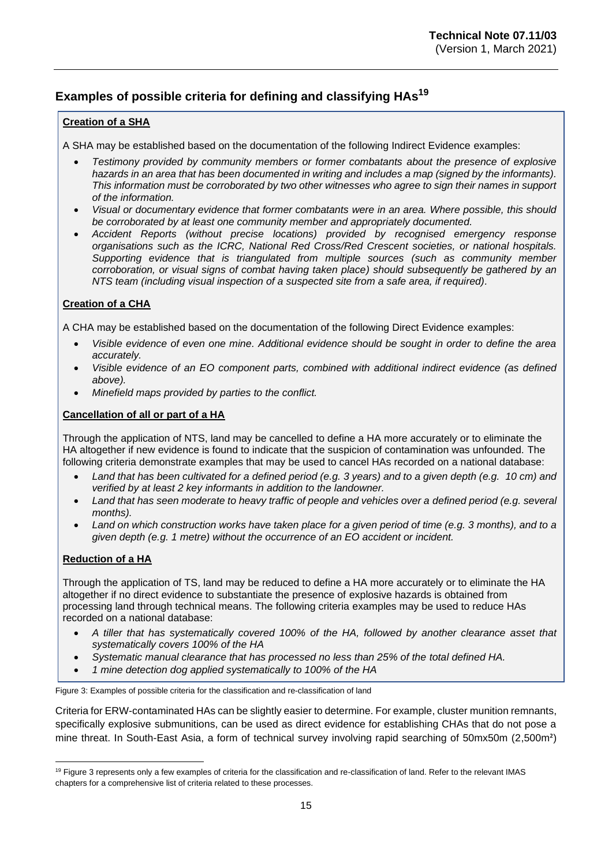# **Examples of possible criteria for defining and classifying HAs 19**

#### **Creation of a SHA**

A SHA may be established based on the documentation of the following Indirect Evidence examples:

- *Testimony provided by community members or former combatants about the presence of explosive hazards in an area that has been documented in writing and includes a map (signed by the informants). This information must be corroborated by two other witnesses who agree to sign their names in support of the information.*
- *Visual or documentary evidence that former combatants were in an area. Where possible, this should be corroborated by at least one community member and appropriately documented.*
- *Accident Reports (without precise locations) provided by recognised emergency response organisations such as the ICRC, National Red Cross/Red Crescent societies, or national hospitals. Supporting evidence that is triangulated from multiple sources (such as community member corroboration, or visual signs of combat having taken place) should subsequently be gathered by an NTS team (including visual inspection of a suspected site from a safe area, if required).*

### **Creation of a CHA**

A CHA may be established based on the documentation of the following Direct Evidence examples:

- *Visible evidence of even one mine. Additional evidence should be sought in order to define the area accurately.*
- *Visible evidence of an EO component parts, combined with additional indirect evidence (as defined above).*
- *Minefield maps provided by parties to the conflict.*

### **Cancellation of all or part of a HA**

Through the application of NTS, land may be cancelled to define a HA more accurately or to eliminate the HA altogether if new evidence is found to indicate that the suspicion of contamination was unfounded. The following criteria demonstrate examples that may be used to cancel HAs recorded on a national database:

- *Land that has been cultivated for a defined period (e.g. 3 years) and to a given depth (e.g. 10 cm) and verified by at least 2 key informants in addition to the landowner.*
- *Land that has seen moderate to heavy traffic of people and vehicles over a defined period (e.g. several months).*
- *Land on which construction works have taken place for a given period of time (e.g. 3 months), and to a given depth (e.g. 1 metre) without the occurrence of an EO accident or incident.*

#### **Reduction of a HA**

Through the application of TS, land may be reduced to define a HA more accurately or to eliminate the HA altogether if no direct evidence to substantiate the presence of explosive hazards is obtained from processing land through technical means. The following criteria examples may be used to reduce HAs recorded on a national database:

- *A tiller that has systematically covered 100% of the HA, followed by another clearance asset that systematically covers 100% of the HA*
- *Systematic manual clearance that has processed no less than 25% of the total defined HA.*
- *1 mine detection dog applied systematically to 100% of the HA*

Figure 3: Examples of possible criteria for the classification and re-classification of land

Criteria for ERW-contaminated HAs can be slightly easier to determine. For example, cluster munition remnants, specifically explosive submunitions, can be used as direct evidence for establishing CHAs that do not pose a mine threat. In South-East Asia, a form of technical survey involving rapid searching of 50mx50m (2,500m²)

<sup>&</sup>lt;sup>19</sup> Figure 3 represents only a few examples of criteria for the classification and re-classification of land. Refer to the relevant IMAS chapters for a comprehensive list of criteria related to these processes.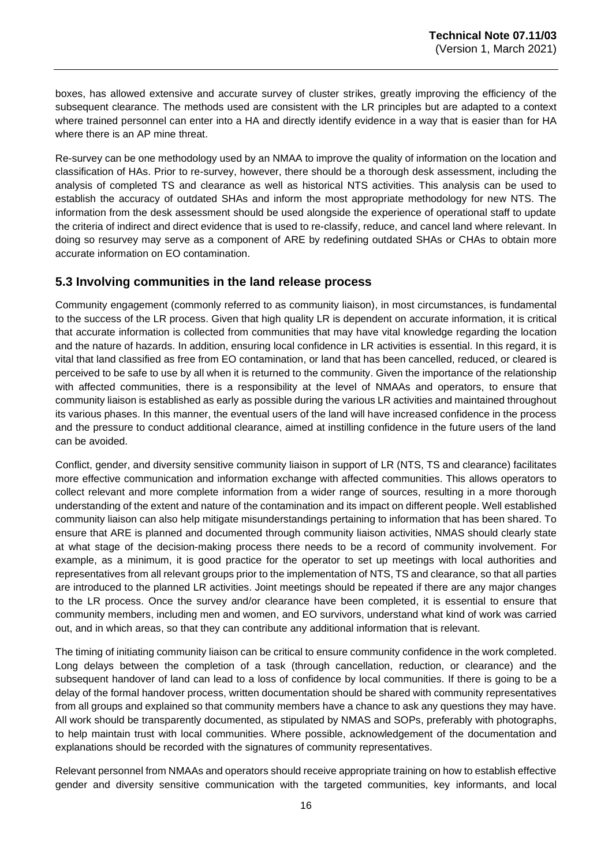boxes, has allowed extensive and accurate survey of cluster strikes, greatly improving the efficiency of the subsequent clearance. The methods used are consistent with the LR principles but are adapted to a context where trained personnel can enter into a HA and directly identify evidence in a way that is easier than for HA where there is an AP mine threat.

Re-survey can be one methodology used by an NMAA to improve the quality of information on the location and classification of HAs. Prior to re-survey, however, there should be a thorough desk assessment, including the analysis of completed TS and clearance as well as historical NTS activities. This analysis can be used to establish the accuracy of outdated SHAs and inform the most appropriate methodology for new NTS. The information from the desk assessment should be used alongside the experience of operational staff to update the criteria of indirect and direct evidence that is used to re-classify, reduce, and cancel land where relevant. In doing so resurvey may serve as a component of ARE by redefining outdated SHAs or CHAs to obtain more accurate information on EO contamination.

## <span id="page-15-0"></span>**5.3 Involving communities in the land release process**

Community engagement (commonly referred to as community liaison), in most circumstances, is fundamental to the success of the LR process. Given that high quality LR is dependent on accurate information, it is critical that accurate information is collected from communities that may have vital knowledge regarding the location and the nature of hazards. In addition, ensuring local confidence in LR activities is essential. In this regard, it is vital that land classified as free from EO contamination, or land that has been cancelled, reduced, or cleared is perceived to be safe to use by all when it is returned to the community. Given the importance of the relationship with affected communities, there is a responsibility at the level of NMAAs and operators, to ensure that community liaison is established as early as possible during the various LR activities and maintained throughout its various phases. In this manner, the eventual users of the land will have increased confidence in the process and the pressure to conduct additional clearance, aimed at instilling confidence in the future users of the land can be avoided.

Conflict, gender, and diversity sensitive community liaison in support of LR (NTS, TS and clearance) facilitates more effective communication and information exchange with affected communities. This allows operators to collect relevant and more complete information from a wider range of sources, resulting in a more thorough understanding of the extent and nature of the contamination and its impact on different people. Well established community liaison can also help mitigate misunderstandings pertaining to information that has been shared. To ensure that ARE is planned and documented through community liaison activities, NMAS should clearly state at what stage of the decision-making process there needs to be a record of community involvement. For example, as a minimum, it is good practice for the operator to set up meetings with local authorities and representatives from all relevant groups prior to the implementation of NTS, TS and clearance, so that all parties are introduced to the planned LR activities. Joint meetings should be repeated if there are any major changes to the LR process. Once the survey and/or clearance have been completed, it is essential to ensure that community members, including men and women, and EO survivors, understand what kind of work was carried out, and in which areas, so that they can contribute any additional information that is relevant.

The timing of initiating community liaison can be critical to ensure community confidence in the work completed. Long delays between the completion of a task (through cancellation, reduction, or clearance) and the subsequent handover of land can lead to a loss of confidence by local communities. If there is going to be a delay of the formal handover process, written documentation should be shared with community representatives from all groups and explained so that community members have a chance to ask any questions they may have. All work should be transparently documented, as stipulated by NMAS and SOPs, preferably with photographs, to help maintain trust with local communities. Where possible, acknowledgement of the documentation and explanations should be recorded with the signatures of community representatives.

Relevant personnel from NMAAs and operators should receive appropriate training on how to establish effective gender and diversity sensitive communication with the targeted communities, key informants, and local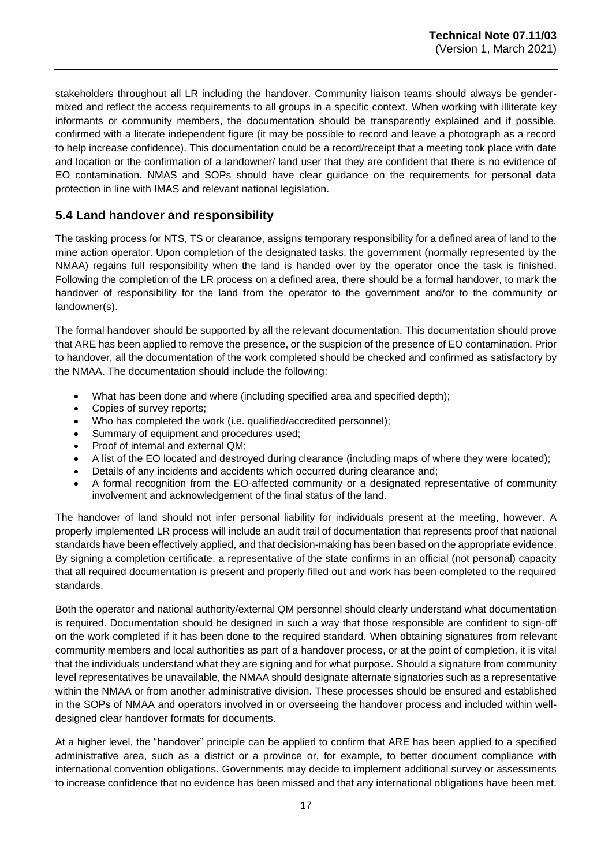stakeholders throughout all LR including the handover. Community liaison teams should always be gendermixed and reflect the access requirements to all groups in a specific context. When working with illiterate key informants or community members, the documentation should be transparently explained and if possible, confirmed with a literate independent figure (it may be possible to record and leave a photograph as a record to help increase confidence). This documentation could be a record/receipt that a meeting took place with date and location or the confirmation of a landowner/ land user that they are confident that there is no evidence of EO contamination. NMAS and SOPs should have clear guidance on the requirements for personal data protection in line with IMAS and relevant national legislation.

# <span id="page-16-0"></span>**5.4 Land handover and responsibility**

The tasking process for NTS, TS or clearance, assigns temporary responsibility for a defined area of land to the mine action operator. Upon completion of the designated tasks, the government (normally represented by the NMAA) regains full responsibility when the land is handed over by the operator once the task is finished. Following the completion of the LR process on a defined area, there should be a formal handover, to mark the handover of responsibility for the land from the operator to the government and/or to the community or landowner(s).

The formal handover should be supported by all the relevant documentation. This documentation should prove that ARE has been applied to remove the presence, or the suspicion of the presence of EO contamination. Prior to handover, all the documentation of the work completed should be checked and confirmed as satisfactory by the NMAA. The documentation should include the following:

- What has been done and where (including specified area and specified depth);
- Copies of survey reports;
- Who has completed the work (i.e. qualified/accredited personnel);
- Summary of equipment and procedures used;
- Proof of internal and external QM;
- A list of the EO located and destroyed during clearance (including maps of where they were located);
- Details of any incidents and accidents which occurred during clearance and;
- A formal recognition from the EO-affected community or a designated representative of community involvement and acknowledgement of the final status of the land.

The handover of land should not infer personal liability for individuals present at the meeting, however. A properly implemented LR process will include an audit trail of documentation that represents proof that national standards have been effectively applied, and that decision-making has been based on the appropriate evidence. By signing a completion certificate, a representative of the state confirms in an official (not personal) capacity that all required documentation is present and properly filled out and work has been completed to the required standards.

Both the operator and national authority/external QM personnel should clearly understand what documentation is required. Documentation should be designed in such a way that those responsible are confident to sign-off on the work completed if it has been done to the required standard. When obtaining signatures from relevant community members and local authorities as part of a handover process, or at the point of completion, it is vital that the individuals understand what they are signing and for what purpose. Should a signature from community level representatives be unavailable, the NMAA should designate alternate signatories such as a representative within the NMAA or from another administrative division. These processes should be ensured and established in the SOPs of NMAA and operators involved in or overseeing the handover process and included within welldesigned clear handover formats for documents.

At a higher level, the "handover" principle can be applied to confirm that ARE has been applied to a specified administrative area, such as a district or a province or, for example, to better document compliance with international convention obligations. Governments may decide to implement additional survey or assessments to increase confidence that no evidence has been missed and that any international obligations have been met.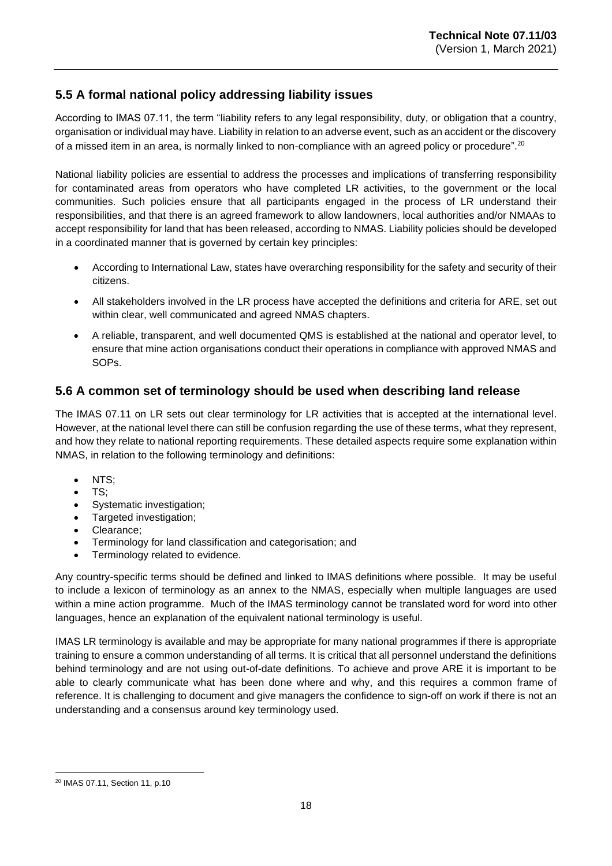# <span id="page-17-0"></span>**5.5 A formal national policy addressing liability issues**

According to IMAS 07.11, the term "liability refers to any legal responsibility, duty, or obligation that a country, organisation or individual may have. Liability in relation to an adverse event, such as an accident or the discovery of a missed item in an area, is normally linked to non-compliance with an agreed policy or procedure".<sup>20</sup>

National liability policies are essential to address the processes and implications of transferring responsibility for contaminated areas from operators who have completed LR activities, to the government or the local communities. Such policies ensure that all participants engaged in the process of LR understand their responsibilities, and that there is an agreed framework to allow landowners, local authorities and/or NMAAs to accept responsibility for land that has been released, according to NMAS. Liability policies should be developed in a coordinated manner that is governed by certain key principles:

- According to International Law, states have overarching responsibility for the safety and security of their citizens.
- All stakeholders involved in the LR process have accepted the definitions and criteria for ARE, set out within clear, well communicated and agreed NMAS chapters.
- A reliable, transparent, and well documented QMS is established at the national and operator level, to ensure that mine action organisations conduct their operations in compliance with approved NMAS and SOPs.

# <span id="page-17-1"></span>**5.6 A common set of terminology should be used when describing land release**

The IMAS 07.11 on LR sets out clear terminology for LR activities that is accepted at the international level. However, at the national level there can still be confusion regarding the use of these terms, what they represent, and how they relate to national reporting requirements. These detailed aspects require some explanation within NMAS, in relation to the following terminology and definitions:

- NTS:
- TS;
- Systematic investigation;
- Targeted investigation;
- Clearance;
- Terminology for land classification and categorisation; and
- Terminology related to evidence.

Any country-specific terms should be defined and linked to IMAS definitions where possible. It may be useful to include a lexicon of terminology as an annex to the NMAS, especially when multiple languages are used within a mine action programme. Much of the IMAS terminology cannot be translated word for word into other languages, hence an explanation of the equivalent national terminology is useful.

IMAS LR terminology is available and may be appropriate for many national programmes if there is appropriate training to ensure a common understanding of all terms. It is critical that all personnel understand the definitions behind terminology and are not using out-of-date definitions. To achieve and prove ARE it is important to be able to clearly communicate what has been done where and why, and this requires a common frame of reference. It is challenging to document and give managers the confidence to sign-off on work if there is not an understanding and a consensus around key terminology used.

<sup>20</sup> IMAS 07.11, Section 11, p.10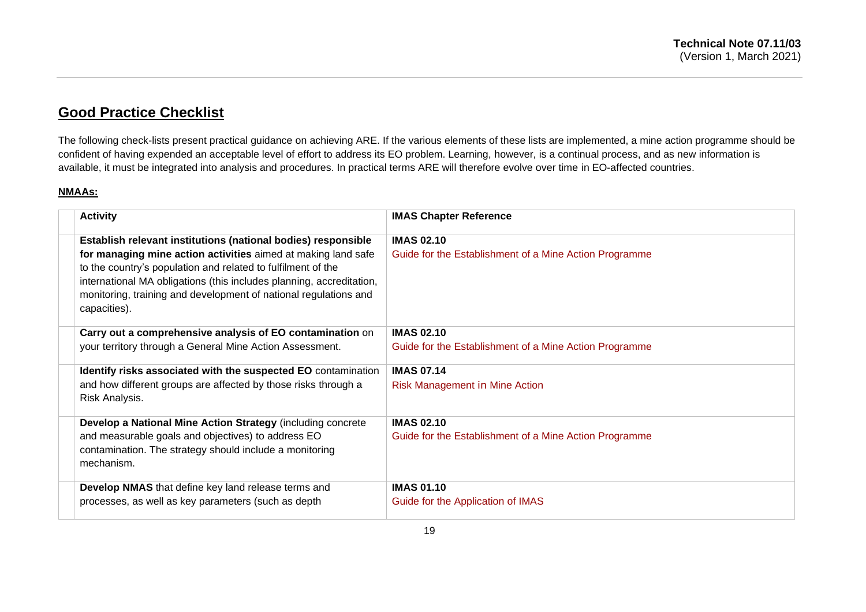# **Good Practice Checklist**

The following check-lists present practical guidance on achieving ARE. If the various elements of these lists are implemented, a mine action programme should be confident of having expended an acceptable level of effort to address its EO problem. Learning, however, is a continual process, and as new information is available, it must be integrated into analysis and procedures. In practical terms ARE will therefore evolve over time in EO-affected countries.

#### **NMAAs:**

<span id="page-18-0"></span>

| <b>Activity</b>                                                                                                                                                                                                                                                                           | <b>IMAS Chapter Reference</b>                          |
|-------------------------------------------------------------------------------------------------------------------------------------------------------------------------------------------------------------------------------------------------------------------------------------------|--------------------------------------------------------|
| Establish relevant institutions (national bodies) responsible                                                                                                                                                                                                                             | <b>IMAS 02.10</b>                                      |
| for managing mine action activities aimed at making land safe<br>to the country's population and related to fulfilment of the<br>international MA obligations (this includes planning, accreditation,<br>monitoring, training and development of national regulations and<br>capacities). | Guide for the Establishment of a Mine Action Programme |
| Carry out a comprehensive analysis of EO contamination on                                                                                                                                                                                                                                 | <b>IMAS 02.10</b>                                      |
| your territory through a General Mine Action Assessment.                                                                                                                                                                                                                                  | Guide for the Establishment of a Mine Action Programme |
| Identify risks associated with the suspected EO contamination                                                                                                                                                                                                                             | <b>IMAS 07.14</b>                                      |
| and how different groups are affected by those risks through a<br>Risk Analysis.                                                                                                                                                                                                          | Risk Management in Mine Action                         |
| Develop a National Mine Action Strategy (including concrete                                                                                                                                                                                                                               | <b>IMAS 02.10</b>                                      |
| and measurable goals and objectives) to address EO<br>contamination. The strategy should include a monitoring<br>mechanism.                                                                                                                                                               | Guide for the Establishment of a Mine Action Programme |
| Develop NMAS that define key land release terms and                                                                                                                                                                                                                                       | <b>IMAS 01.10</b>                                      |
| processes, as well as key parameters (such as depth                                                                                                                                                                                                                                       | Guide for the Application of IMAS                      |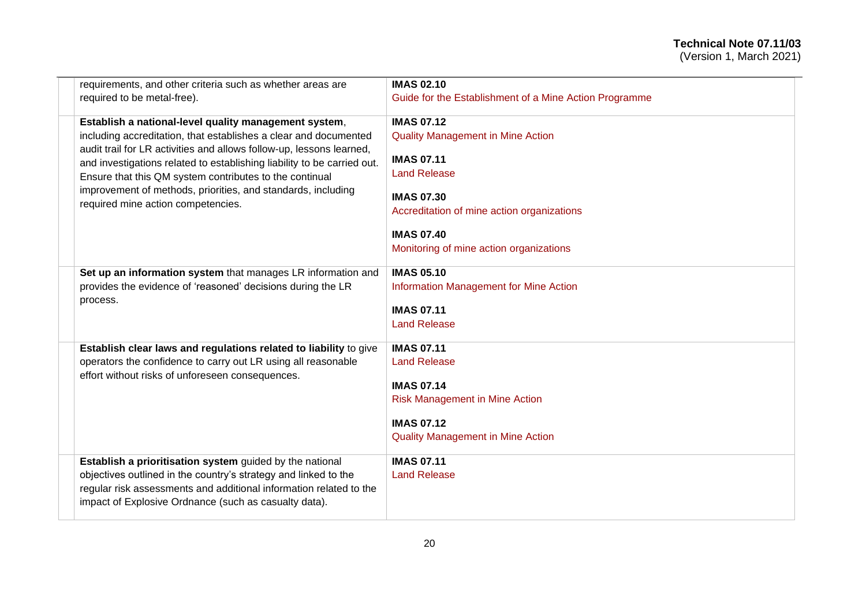| requirements, and other criteria such as whether areas are                                                                                                                                                                                                                                                                                                                                                                                    | <b>IMAS 02.10</b>                                                                                                                                                                                                                            |
|-----------------------------------------------------------------------------------------------------------------------------------------------------------------------------------------------------------------------------------------------------------------------------------------------------------------------------------------------------------------------------------------------------------------------------------------------|----------------------------------------------------------------------------------------------------------------------------------------------------------------------------------------------------------------------------------------------|
| required to be metal-free).                                                                                                                                                                                                                                                                                                                                                                                                                   | Guide for the Establishment of a Mine Action Programme                                                                                                                                                                                       |
| Establish a national-level quality management system,<br>including accreditation, that establishes a clear and documented<br>audit trail for LR activities and allows follow-up, lessons learned,<br>and investigations related to establishing liability to be carried out.<br>Ensure that this QM system contributes to the continual<br>improvement of methods, priorities, and standards, including<br>required mine action competencies. | <b>IMAS 07.12</b><br><b>Quality Management in Mine Action</b><br><b>IMAS 07.11</b><br><b>Land Release</b><br><b>IMAS 07.30</b><br>Accreditation of mine action organizations<br><b>IMAS 07.40</b><br>Monitoring of mine action organizations |
| Set up an information system that manages LR information and<br>provides the evidence of 'reasoned' decisions during the LR<br>process.                                                                                                                                                                                                                                                                                                       | <b>IMAS 05.10</b><br>Information Management for Mine Action<br><b>IMAS 07.11</b><br><b>Land Release</b>                                                                                                                                      |
| Establish clear laws and regulations related to liability to give<br>operators the confidence to carry out LR using all reasonable<br>effort without risks of unforeseen consequences.                                                                                                                                                                                                                                                        | <b>IMAS 07.11</b><br><b>Land Release</b><br><b>IMAS 07.14</b><br><b>Risk Management in Mine Action</b><br><b>IMAS 07.12</b><br><b>Quality Management in Mine Action</b>                                                                      |
| Establish a prioritisation system guided by the national<br>objectives outlined in the country's strategy and linked to the<br>regular risk assessments and additional information related to the<br>impact of Explosive Ordnance (such as casualty data).                                                                                                                                                                                    | <b>IMAS 07.11</b><br><b>Land Release</b>                                                                                                                                                                                                     |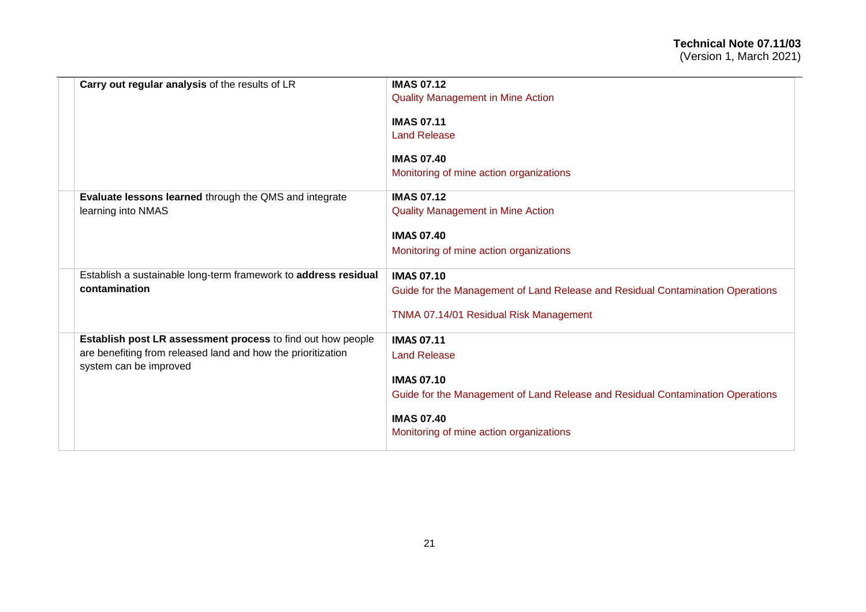| Carry out regular analysis of the results of LR                                                                                                       | <b>IMAS 07.12</b><br><b>Quality Management in Mine Action</b>                                                                                                        |
|-------------------------------------------------------------------------------------------------------------------------------------------------------|----------------------------------------------------------------------------------------------------------------------------------------------------------------------|
|                                                                                                                                                       | <b>IMAS 07.11</b><br><b>Land Release</b>                                                                                                                             |
|                                                                                                                                                       | <b>IMAS 07.40</b><br>Monitoring of mine action organizations                                                                                                         |
| Evaluate lessons learned through the QMS and integrate<br>learning into NMAS                                                                          | <b>IMAS 07.12</b><br><b>Quality Management in Mine Action</b>                                                                                                        |
|                                                                                                                                                       | <b>IMAS 07.40</b><br>Monitoring of mine action organizations                                                                                                         |
| Establish a sustainable long-term framework to address residual<br>contamination                                                                      | <b>IMAS 07.10</b><br>Guide for the Management of Land Release and Residual Contamination Operations<br>TNMA 07.14/01 Residual Risk Management                        |
| Establish post LR assessment process to find out how people<br>are benefiting from released land and how the prioritization<br>system can be improved | <b>IMAS 07.11</b><br><b>Land Release</b><br><b>IMAS 07.10</b><br>Guide for the Management of Land Release and Residual Contamination Operations<br><b>IMAS 07.40</b> |
|                                                                                                                                                       | Monitoring of mine action organizations                                                                                                                              |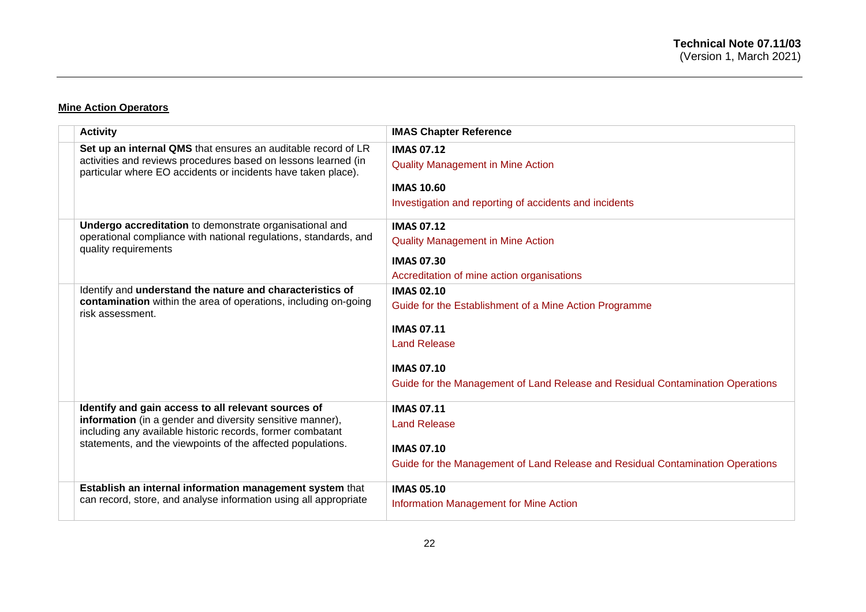#### **Mine Action Operators**

| <b>Activity</b>                                                                                                                 | <b>IMAS Chapter Reference</b>                                                  |
|---------------------------------------------------------------------------------------------------------------------------------|--------------------------------------------------------------------------------|
| Set up an internal QMS that ensures an auditable record of LR                                                                   | <b>IMAS 07.12</b>                                                              |
| activities and reviews procedures based on lessons learned (in<br>particular where EO accidents or incidents have taken place). | <b>Quality Management in Mine Action</b>                                       |
|                                                                                                                                 | <b>IMAS 10.60</b>                                                              |
|                                                                                                                                 | Investigation and reporting of accidents and incidents                         |
| Undergo accreditation to demonstrate organisational and                                                                         | <b>IMAS 07.12</b>                                                              |
| operational compliance with national regulations, standards, and<br>quality requirements                                        | <b>Quality Management in Mine Action</b>                                       |
|                                                                                                                                 | <b>IMAS 07.30</b>                                                              |
|                                                                                                                                 | Accreditation of mine action organisations                                     |
| Identify and understand the nature and characteristics of                                                                       | <b>IMAS 02.10</b>                                                              |
| contamination within the area of operations, including on-going<br>risk assessment.                                             | Guide for the Establishment of a Mine Action Programme                         |
|                                                                                                                                 | <b>IMAS 07.11</b>                                                              |
|                                                                                                                                 | <b>Land Release</b>                                                            |
|                                                                                                                                 | <b>IMAS 07.10</b>                                                              |
|                                                                                                                                 | Guide for the Management of Land Release and Residual Contamination Operations |
| Identify and gain access to all relevant sources of                                                                             | <b>IMAS 07.11</b>                                                              |
| information (in a gender and diversity sensitive manner),<br>including any available historic records, former combatant         | <b>Land Release</b>                                                            |
| statements, and the viewpoints of the affected populations.                                                                     | <b>IMAS 07.10</b>                                                              |
|                                                                                                                                 | Guide for the Management of Land Release and Residual Contamination Operations |
| Establish an internal information management system that                                                                        | <b>IMAS 05.10</b>                                                              |
| can record, store, and analyse information using all appropriate                                                                | Information Management for Mine Action                                         |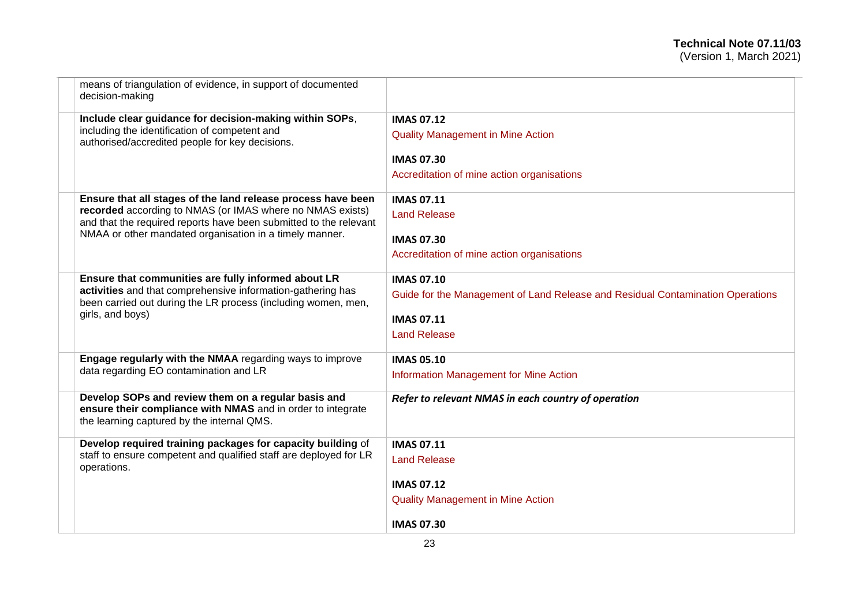| means of triangulation of evidence, in support of documented<br>decision-making                                                                                  |                                                                                |
|------------------------------------------------------------------------------------------------------------------------------------------------------------------|--------------------------------------------------------------------------------|
| Include clear guidance for decision-making within SOPs,                                                                                                          | <b>IMAS 07.12</b>                                                              |
| including the identification of competent and<br>authorised/accredited people for key decisions.                                                                 | <b>Quality Management in Mine Action</b>                                       |
|                                                                                                                                                                  | <b>IMAS 07.30</b>                                                              |
|                                                                                                                                                                  | Accreditation of mine action organisations                                     |
| Ensure that all stages of the land release process have been                                                                                                     | <b>IMAS 07.11</b>                                                              |
| recorded according to NMAS (or IMAS where no NMAS exists)<br>and that the required reports have been submitted to the relevant                                   | <b>Land Release</b>                                                            |
| NMAA or other mandated organisation in a timely manner.                                                                                                          | <b>IMAS 07.30</b>                                                              |
|                                                                                                                                                                  | Accreditation of mine action organisations                                     |
| Ensure that communities are fully informed about LR                                                                                                              | <b>IMAS 07.10</b>                                                              |
| activities and that comprehensive information-gathering has<br>been carried out during the LR process (including women, men,                                     | Guide for the Management of Land Release and Residual Contamination Operations |
| girls, and boys)                                                                                                                                                 | <b>IMAS 07.11</b>                                                              |
|                                                                                                                                                                  | <b>Land Release</b>                                                            |
| Engage regularly with the NMAA regarding ways to improve                                                                                                         | <b>IMAS 05.10</b>                                                              |
| data regarding EO contamination and LR                                                                                                                           | Information Management for Mine Action                                         |
| Develop SOPs and review them on a regular basis and<br>ensure their compliance with NMAS and in order to integrate<br>the learning captured by the internal QMS. | Refer to relevant NMAS in each country of operation                            |
| Develop required training packages for capacity building of                                                                                                      | <b>IMAS 07.11</b>                                                              |
| staff to ensure competent and qualified staff are deployed for LR<br>operations.                                                                                 | <b>Land Release</b>                                                            |
|                                                                                                                                                                  | <b>IMAS 07.12</b>                                                              |
|                                                                                                                                                                  | <b>Quality Management in Mine Action</b>                                       |
|                                                                                                                                                                  | <b>IMAS 07.30</b>                                                              |
|                                                                                                                                                                  |                                                                                |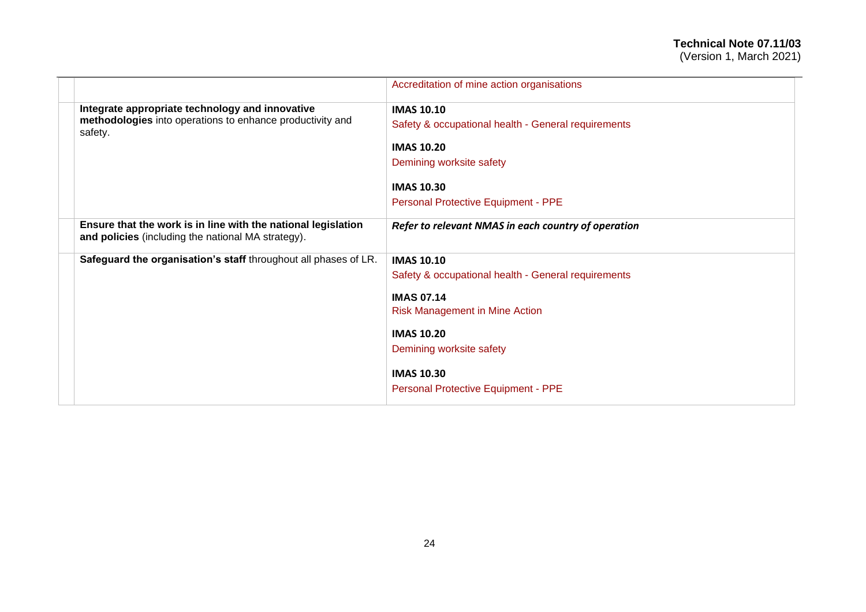# **Technical Note 07.11/03**

(Version 1, March 2021)

|                                                                                                                     | Accreditation of mine action organisations          |
|---------------------------------------------------------------------------------------------------------------------|-----------------------------------------------------|
| Integrate appropriate technology and innovative                                                                     | <b>IMAS 10.10</b>                                   |
| methodologies into operations to enhance productivity and<br>safety.                                                | Safety & occupational health - General requirements |
|                                                                                                                     | <b>IMAS 10.20</b>                                   |
|                                                                                                                     | Demining worksite safety                            |
|                                                                                                                     | <b>IMAS 10.30</b>                                   |
|                                                                                                                     | Personal Protective Equipment - PPE                 |
| Ensure that the work is in line with the national legislation<br>and policies (including the national MA strategy). | Refer to relevant NMAS in each country of operation |
| Safeguard the organisation's staff throughout all phases of LR.                                                     | <b>IMAS 10.10</b>                                   |
|                                                                                                                     | Safety & occupational health - General requirements |
|                                                                                                                     | <b>IMAS 07.14</b>                                   |
|                                                                                                                     | <b>Risk Management in Mine Action</b>               |
|                                                                                                                     | <b>IMAS 10.20</b>                                   |
|                                                                                                                     | Demining worksite safety                            |
|                                                                                                                     | <b>IMAS 10.30</b>                                   |
|                                                                                                                     | Personal Protective Equipment - PPE                 |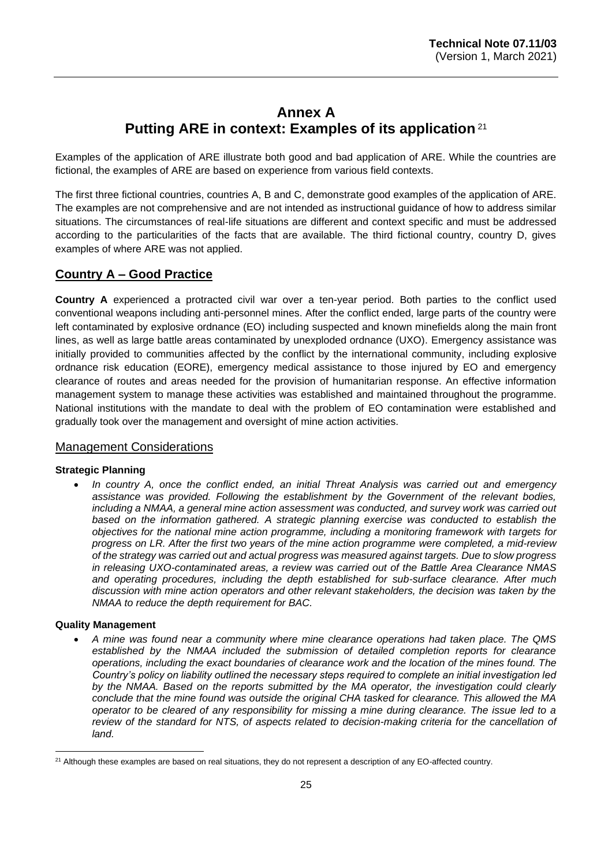# **Annex A Putting ARE in context: Examples of its application** <sup>21</sup>

<span id="page-24-0"></span>Examples of the application of ARE illustrate both good and bad application of ARE. While the countries are fictional, the examples of ARE are based on experience from various field contexts.

The first three fictional countries, countries A, B and C, demonstrate good examples of the application of ARE. The examples are not comprehensive and are not intended as instructional guidance of how to address similar situations. The circumstances of real-life situations are different and context specific and must be addressed according to the particularities of the facts that are available. The third fictional country, country D, gives examples of where ARE was not applied.

# **Country A – Good Practice**

**Country A** experienced a protracted civil war over a ten-year period. Both parties to the conflict used conventional weapons including anti-personnel mines. After the conflict ended, large parts of the country were left contaminated by explosive ordnance (EO) including suspected and known minefields along the main front lines, as well as large battle areas contaminated by unexploded ordnance (UXO). Emergency assistance was initially provided to communities affected by the conflict by the international community, including explosive ordnance risk education (EORE), emergency medical assistance to those injured by EO and emergency clearance of routes and areas needed for the provision of humanitarian response. An effective information management system to manage these activities was established and maintained throughout the programme. National institutions with the mandate to deal with the problem of EO contamination were established and gradually took over the management and oversight of mine action activities.

#### Management Considerations

#### **Strategic Planning**

• *In country A, once the conflict ended, an initial Threat Analysis was carried out and emergency assistance was provided. Following the establishment by the Government of the relevant bodies, including a NMAA, a general mine action assessment was conducted, and survey work was carried out based on the information gathered. A strategic planning exercise was conducted to establish the objectives for the national mine action programme, including a monitoring framework with targets for progress on LR. After the first two years of the mine action programme were completed, a mid-review of the strategy was carried out and actual progress was measured against targets. Due to slow progress in releasing UXO-contaminated areas, a review was carried out of the Battle Area Clearance NMAS and operating procedures, including the depth established for sub-surface clearance. After much discussion with mine action operators and other relevant stakeholders, the decision was taken by the NMAA to reduce the depth requirement for BAC.* 

#### **Quality Management**

• *A mine was found near a community where mine clearance operations had taken place. The QMS established by the NMAA included the submission of detailed completion reports for clearance operations, including the exact boundaries of clearance work and the location of the mines found. The Country's policy on liability outlined the necessary steps required to complete an initial investigation led by the NMAA. Based on the reports submitted by the MA operator, the investigation could clearly conclude that the mine found was outside the original CHA tasked for clearance. This allowed the MA operator to be cleared of any responsibility for missing a mine during clearance. The issue led to a review of the standard for NTS, of aspects related to decision-making criteria for the cancellation of land.*

 $21$  Although these examples are based on real situations, they do not represent a description of any EO-affected country.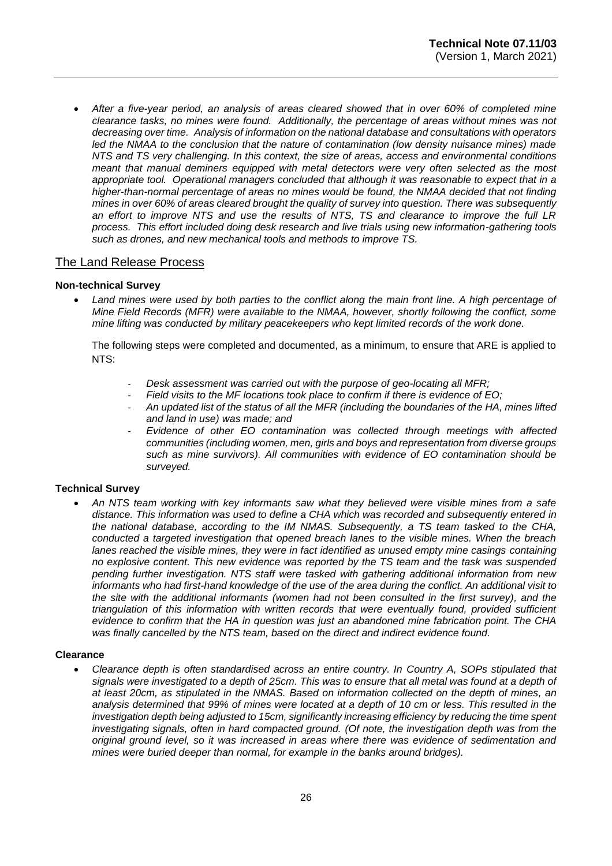• *After a five-year period, an analysis of areas cleared showed that in over 60% of completed mine clearance tasks, no mines were found. Additionally, the percentage of areas without mines was not decreasing over time. Analysis of information on the national database and consultations with operators led the NMAA to the conclusion that the nature of contamination (low density nuisance mines) made NTS and TS very challenging. In this context, the size of areas, access and environmental conditions meant that manual deminers equipped with metal detectors were very often selected as the most appropriate tool. Operational managers concluded that although it was reasonable to expect that in a higher-than-normal percentage of areas no mines would be found, the NMAA decided that not finding mines in over 60% of areas cleared brought the quality of survey into question. There was subsequently an effort to improve NTS and use the results of NTS, TS and clearance to improve the full LR process. This effort included doing desk research and live trials using new information-gathering tools such as drones, and new mechanical tools and methods to improve TS.*

#### The Land Release Process

#### **Non-technical Survey**

• *Land mines were used by both parties to the conflict along the main front line. A high percentage of Mine Field Records (MFR) were available to the NMAA, however, shortly following the conflict, some mine lifting was conducted by military peacekeepers who kept limited records of the work done.* 

The following steps were completed and documented, as a minimum, to ensure that ARE is applied to NTS:

- *Desk assessment was carried out with the purpose of geo-locating all MFR;*
- *Field visits to the MF locations took place to confirm if there is evidence of EO;*
- *An updated list of the status of all the MFR (including the boundaries of the HA, mines lifted and land in use) was made; and*
- *Evidence of other EO contamination was collected through meetings with affected communities (including women, men, girls and boys and representation from diverse groups such as mine survivors). All communities with evidence of EO contamination should be surveyed.*

#### **Technical Survey**

• *An NTS team working with key informants saw what they believed were visible mines from a safe distance. This information was used to define a CHA which was recorded and subsequently entered in the national database, according to the IM NMAS. Subsequently, a TS team tasked to the CHA, conducted a targeted investigation that opened breach lanes to the visible mines. When the breach lanes reached the visible mines, they were in fact identified as unused empty mine casings containing no explosive content. This new evidence was reported by the TS team and the task was suspended pending further investigation. NTS staff were tasked with gathering additional information from new informants who had first-hand knowledge of the use of the area during the conflict. An additional visit to the site with the additional informants (women had not been consulted in the first survey), and the triangulation of this information with written records that were eventually found, provided sufficient evidence to confirm that the HA in question was just an abandoned mine fabrication point. The CHA was finally cancelled by the NTS team, based on the direct and indirect evidence found.* 

#### **Clearance**

• *Clearance depth is often standardised across an entire country. In Country A, SOPs stipulated that signals were investigated to a depth of 25cm. This was to ensure that all metal was found at a depth of at least 20cm, as stipulated in the NMAS. Based on information collected on the depth of mines, an analysis determined that 99% of mines were located at a depth of 10 cm or less. This resulted in the investigation depth being adjusted to 15cm, significantly increasing efficiency by reducing the time spent investigating signals, often in hard compacted ground. (Of note, the investigation depth was from the original ground level, so it was increased in areas where there was evidence of sedimentation and mines were buried deeper than normal, for example in the banks around bridges).*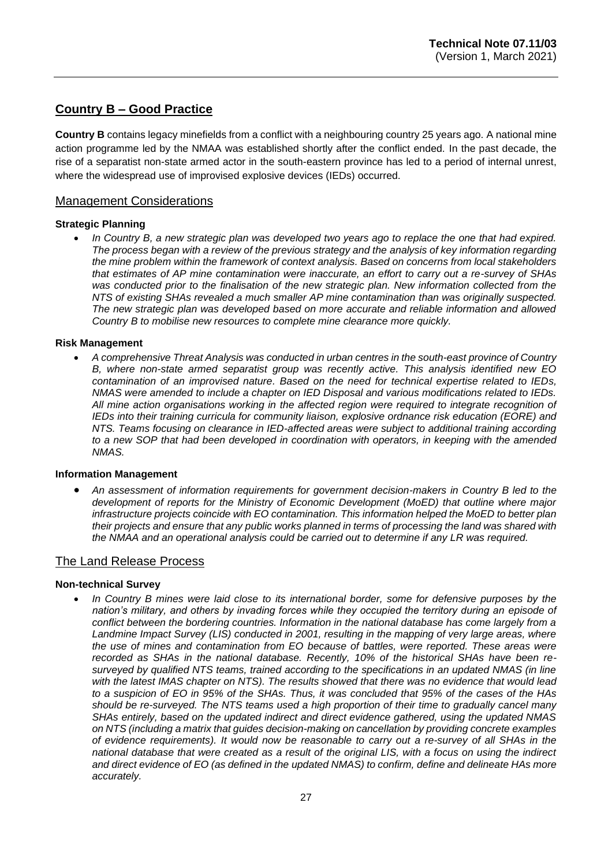# **Country B – Good Practice**

**Country B** contains legacy minefields from a conflict with a neighbouring country 25 years ago. A national mine action programme led by the NMAA was established shortly after the conflict ended. In the past decade, the rise of a separatist non-state armed actor in the south-eastern province has led to a period of internal unrest, where the widespread use of improvised explosive devices (IEDs) occurred.

#### Management Considerations

#### **Strategic Planning**

• *In Country B, a new strategic plan was developed two years ago to replace the one that had expired. The process began with a review of the previous strategy and the analysis of key information regarding the mine problem within the framework of context analysis. Based on concerns from local stakeholders that estimates of AP mine contamination were inaccurate, an effort to carry out a re-survey of SHAs*  was conducted prior to the finalisation of the new strategic plan. New information collected from the *NTS of existing SHAs revealed a much smaller AP mine contamination than was originally suspected. The new strategic plan was developed based on more accurate and reliable information and allowed Country B to mobilise new resources to complete mine clearance more quickly.*

#### **Risk Management**

• *A comprehensive Threat Analysis was conducted in urban centres in the south-east province of Country B, where non-state armed separatist group was recently active. This analysis identified new EO contamination of an improvised nature. Based on the need for technical expertise related to IEDs, NMAS were amended to include a chapter on IED Disposal and various modifications related to IEDs. All mine action organisations working in the affected region were required to integrate recognition of IEDs into their training curricula for community liaison, explosive ordnance risk education (EORE) and NTS. Teams focusing on clearance in IED-affected areas were subject to additional training according to a new SOP that had been developed in coordination with operators, in keeping with the amended NMAS.*

#### **Information Management**

• *An assessment of information requirements for government decision-makers in Country B led to the development of reports for the Ministry of Economic Development (MoED) that outline where major infrastructure projects coincide with EO contamination. This information helped the MoED to better plan their projects and ensure that any public works planned in terms of processing the land was shared with the NMAA and an operational analysis could be carried out to determine if any LR was required.*

#### The Land Release Process

#### **Non-technical Survey**

• *In Country B mines were laid close to its international border, some for defensive purposes by the nation's military, and others by invading forces while they occupied the territory during an episode of conflict between the bordering countries. Information in the national database has come largely from a Landmine Impact Survey (LIS) conducted in 2001, resulting in the mapping of very large areas, where the use of mines and contamination from EO because of battles, were reported. These areas were recorded as SHAs in the national database. Recently, 10% of the historical SHAs have been resurveyed by qualified NTS teams, trained according to the specifications in an updated NMAS (in line with the latest IMAS chapter on NTS). The results showed that there was no evidence that would lead to a suspicion of EO in 95% of the SHAs. Thus, it was concluded that 95% of the cases of the HAs should be re-surveyed. The NTS teams used a high proportion of their time to gradually cancel many SHAs entirely, based on the updated indirect and direct evidence gathered, using the updated NMAS on NTS (including a matrix that guides decision-making on cancellation by providing concrete examples of evidence requirements). It would now be reasonable to carry out a re-survey of all SHAs in the national database that were created as a result of the original LIS, with a focus on using the indirect and direct evidence of EO (as defined in the updated NMAS) to confirm, define and delineate HAs more accurately.*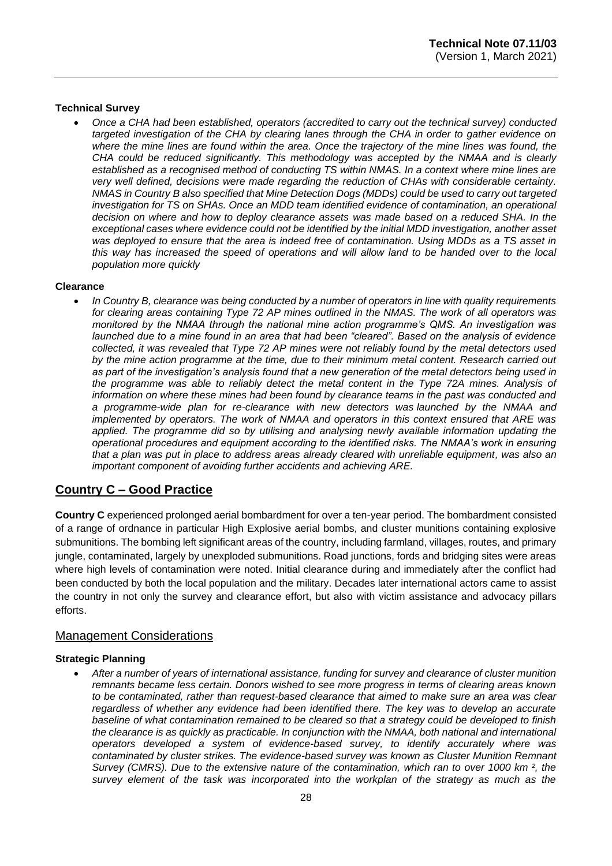#### **Technical Survey**

• *Once a CHA had been established, operators (accredited to carry out the technical survey) conducted targeted investigation of the CHA by clearing lanes through the CHA in order to gather evidence on where the mine lines are found within the area. Once the trajectory of the mine lines was found, the CHA could be reduced significantly. This methodology was accepted by the NMAA and is clearly established as a recognised method of conducting TS within NMAS. In a context where mine lines are very well defined, decisions were made regarding the reduction of CHAs with considerable certainty. NMAS in Country B also specified that Mine Detection Dogs (MDDs) could be used to carry out targeted investigation for TS on SHAs. Once an MDD team identified evidence of contamination, an operational decision on where and how to deploy clearance assets was made based on a reduced SHA. In the exceptional cases where evidence could not be identified by the initial MDD investigation, another asset was deployed to ensure that the area is indeed free of contamination. Using MDDs as a TS asset in this way has increased the speed of operations and will allow land to be handed over to the local population more quickly*

#### **Clearance**

• *In Country B, clearance was being conducted by a number of operators in line with quality requirements for clearing areas containing Type 72 AP mines outlined in the NMAS. The work of all operators was monitored by the NMAA through the national mine action programme's QMS. An investigation was launched due to a mine found in an area that had been "cleared". Based on the analysis of evidence collected, it was revealed that Type 72 AP mines were not reliably found by the metal detectors used by the mine action programme at the time, due to their minimum metal content. Research carried out as part of the investigation's analysis found that a new generation of the metal detectors being used in the programme was able to reliably detect the metal content in the Type 72A mines. Analysis of information on where these mines had been found by clearance teams in the past was conducted and a programme-wide plan for re-clearance with new detectors was launched by the NMAA and implemented by operators. The work of NMAA and operators in this context ensured that ARE was applied. The programme did so by utilising and analysing newly available information updating the operational procedures and equipment according to the identified risks. The NMAA's work in ensuring that a plan was put in place to address areas already cleared with unreliable equipment, was also an important component of avoiding further accidents and achieving ARE.*

#### **Country C – Good Practice**

**Country C** experienced prolonged aerial bombardment for over a ten-year period. The bombardment consisted of a range of ordnance in particular High Explosive aerial bombs, and cluster munitions containing explosive submunitions. The bombing left significant areas of the country, including farmland, villages, routes, and primary jungle, contaminated, largely by unexploded submunitions. Road junctions, fords and bridging sites were areas where high levels of contamination were noted. Initial clearance during and immediately after the conflict had been conducted by both the local population and the military. Decades later international actors came to assist the country in not only the survey and clearance effort, but also with victim assistance and advocacy pillars efforts.

#### Management Considerations

#### **Strategic Planning**

• *After a number of years of international assistance, funding for survey and clearance of cluster munition remnants became less certain. Donors wished to see more progress in terms of clearing areas known to be contaminated, rather than request-based clearance that aimed to make sure an area was clear regardless of whether any evidence had been identified there. The key was to develop an accurate baseline of what contamination remained to be cleared so that a strategy could be developed to finish the clearance is as quickly as practicable. In conjunction with the NMAA, both national and international operators developed a system of evidence-based survey, to identify accurately where was contaminated by cluster strikes. The evidence-based survey was known as Cluster Munition Remnant Survey (CMRS). Due to the extensive nature of the contamination, which ran to over 1000 km ², the survey element of the task was incorporated into the workplan of the strategy as much as the*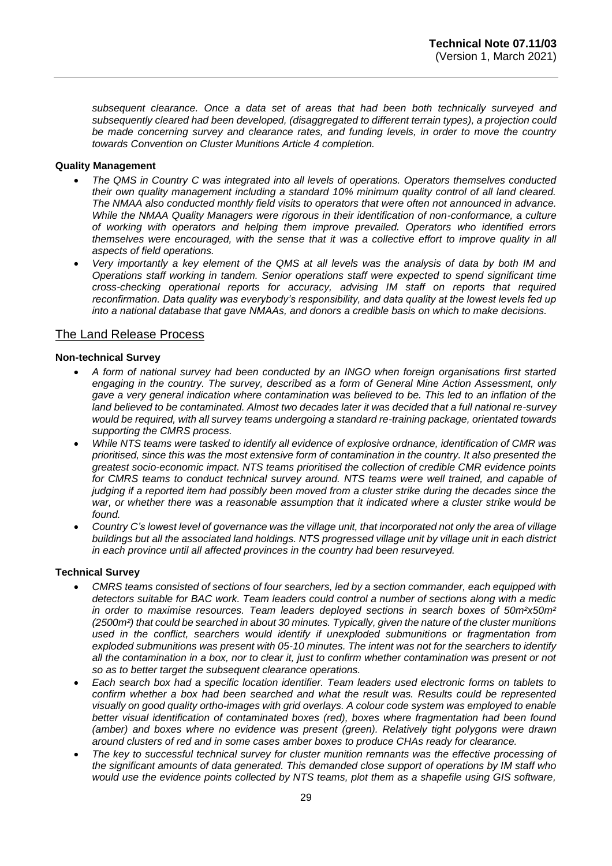*subsequent clearance. Once a data set of areas that had been both technically surveyed and subsequently cleared had been developed, (disaggregated to different terrain types), a projection could be made concerning survey and clearance rates, and funding levels, in order to move the country towards Convention on Cluster Munitions Article 4 completion.*

#### **Quality Management**

- *The QMS in Country C was integrated into all levels of operations. Operators themselves conducted their own quality management including a standard 10% minimum quality control of all land cleared. The NMAA also conducted monthly field visits to operators that were often not announced in advance. While the NMAA Quality Managers were rigorous in their identification of non-conformance, a culture of working with operators and helping them improve prevailed. Operators who identified errors themselves were encouraged, with the sense that it was a collective effort to improve quality in all aspects of field operations.*
- *Very importantly a key element of the QMS at all levels was the analysis of data by both IM and Operations staff working in tandem. Senior operations staff were expected to spend significant time cross-checking operational reports for accuracy, advising IM staff on reports that required reconfirmation. Data quality was everybody's responsibility, and data quality at the lowest levels fed up into a national database that gave NMAAs, and donors a credible basis on which to make decisions.*

#### The Land Release Process

#### **Non-technical Survey**

- *A form of national survey had been conducted by an INGO when foreign organisations first started engaging in the country. The survey, described as a form of General Mine Action Assessment, only gave a very general indication where contamination was believed to be. This led to an inflation of the land believed to be contaminated. Almost two decades later it was decided that a full national re-survey would be required, with all survey teams undergoing a standard re-training package, orientated towards supporting the CMRS process.*
- *While NTS teams were tasked to identify all evidence of explosive ordnance, identification of CMR was prioritised, since this was the most extensive form of contamination in the country. It also presented the greatest socio-economic impact. NTS teams prioritised the collection of credible CMR evidence points*  for CMRS teams to conduct technical survey around. NTS teams were well trained, and capable of *judging if a reported item had possibly been moved from a cluster strike during the decades since the war, or whether there was a reasonable assumption that it indicated where a cluster strike would be found.*
- *Country C's lowest level of governance was the village unit, that incorporated not only the area of village buildings but all the associated land holdings. NTS progressed village unit by village unit in each district in each province until all affected provinces in the country had been resurveyed.*

#### **Technical Survey**

- *CMRS teams consisted of sections of four searchers, led by a section commander, each equipped with detectors suitable for BAC work. Team leaders could control a number of sections along with a medic in order to maximise resources. Team leaders deployed sections in search boxes of 50m²x50m² (2500m²) that could be searched in about 30 minutes. Typically, given the nature of the cluster munitions used in the conflict, searchers would identify if unexploded submunitions or fragmentation from exploded submunitions was present with 05-10 minutes. The intent was not for the searchers to identify all the contamination in a box, nor to clear it, just to confirm whether contamination was present or not so as to better target the subsequent clearance operations.*
- *Each search box had a specific location identifier. Team leaders used electronic forms on tablets to confirm whether a box had been searched and what the result was. Results could be represented visually on good quality ortho-images with grid overlays. A colour code system was employed to enable better visual identification of contaminated boxes (red), boxes where fragmentation had been found (amber) and boxes where no evidence was present (green). Relatively tight polygons were drawn around clusters of red and in some cases amber boxes to produce CHAs ready for clearance.*
- *The key to successful technical survey for cluster munition remnants was the effective processing of the significant amounts of data generated. This demanded close support of operations by IM staff who would use the evidence points collected by NTS teams, plot them as a shapefile using GIS software,*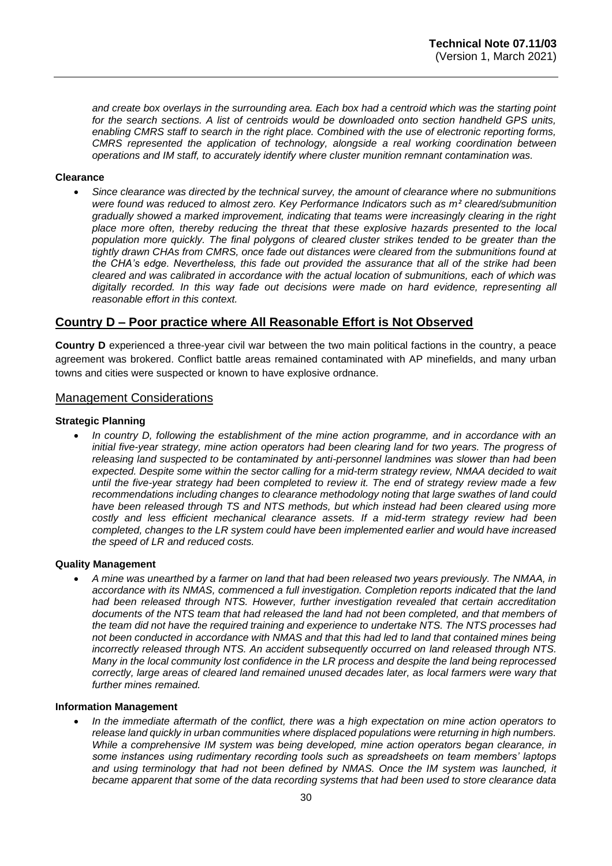*and create box overlays in the surrounding area. Each box had a centroid which was the starting point for the search sections. A list of centroids would be downloaded onto section handheld GPS units, enabling CMRS staff to search in the right place. Combined with the use of electronic reporting forms, CMRS represented the application of technology, alongside a real working coordination between operations and IM staff, to accurately identify where cluster munition remnant contamination was.*

#### **Clearance**

• *Since clearance was directed by the technical survey, the amount of clearance where no submunitions were found was reduced to almost zero. Key Performance Indicators such as m² cleared/submunition gradually showed a marked improvement, indicating that teams were increasingly clearing in the right place more often, thereby reducing the threat that these explosive hazards presented to the local population more quickly. The final polygons of cleared cluster strikes tended to be greater than the tightly drawn CHAs from CMRS, once fade out distances were cleared from the submunitions found at the CHA's edge. Nevertheless, this fade out provided the assurance that all of the strike had been cleared and was calibrated in accordance with the actual location of submunitions, each of which was digitally recorded. In this way fade out decisions were made on hard evidence, representing all reasonable effort in this context.*

#### **Country D – Poor practice where All Reasonable Effort is Not Observed**

**Country D** experienced a three-year civil war between the two main political factions in the country, a peace agreement was brokered. Conflict battle areas remained contaminated with AP minefields, and many urban towns and cities were suspected or known to have explosive ordnance.

### Management Considerations

#### **Strategic Planning**

• *In country D, following the establishment of the mine action programme, and in accordance with an initial five-year strategy, mine action operators had been clearing land for two years. The progress of releasing land suspected to be contaminated by anti-personnel landmines was slower than had been expected. Despite some within the sector calling for a mid-term strategy review, NMAA decided to wait until the five-year strategy had been completed to review it. The end of strategy review made a few recommendations including changes to clearance methodology noting that large swathes of land could have been released through TS and NTS methods, but which instead had been cleared using more costly and less efficient mechanical clearance assets. If a mid-term strategy review had been completed, changes to the LR system could have been implemented earlier and would have increased the speed of LR and reduced costs.* 

#### **Quality Management**

• *A mine was unearthed by a farmer on land that had been released two years previously. The NMAA, in accordance with its NMAS, commenced a full investigation. Completion reports indicated that the land had been released through NTS. However, further investigation revealed that certain accreditation documents of the NTS team that had released the land had not been completed, and that members of the team did not have the required training and experience to undertake NTS. The NTS processes had not been conducted in accordance with NMAS and that this had led to land that contained mines being incorrectly released through NTS. An accident subsequently occurred on land released through NTS. Many in the local community lost confidence in the LR process and despite the land being reprocessed correctly, large areas of cleared land remained unused decades later, as local farmers were wary that further mines remained.* 

#### **Information Management**

• *In the immediate aftermath of the conflict, there was a high expectation on mine action operators to release land quickly in urban communities where displaced populations were returning in high numbers. While a comprehensive IM system was being developed, mine action operators began clearance, in some instances using rudimentary recording tools such as spreadsheets on team members' laptops and using terminology that had not been defined by NMAS. Once the IM system was launched, it became apparent that some of the data recording systems that had been used to store clearance data*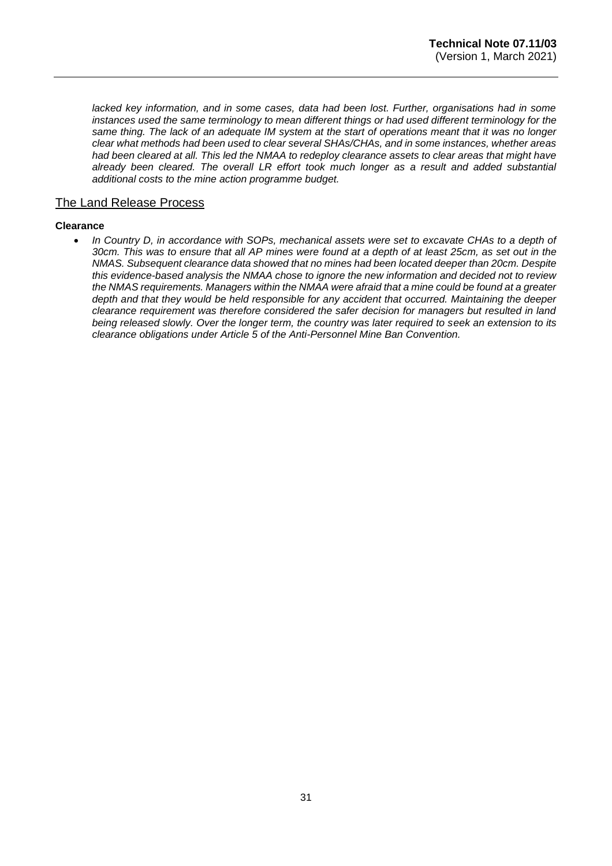lacked key information, and in some cases, data had been lost. Further, organisations had in some *instances used the same terminology to mean different things or had used different terminology for the same thing. The lack of an adequate IM system at the start of operations meant that it was no longer clear what methods had been used to clear several SHAs/CHAs, and in some instances, whether areas had been cleared at all. This led the NMAA to redeploy clearance assets to clear areas that might have already been cleared. The overall LR effort took much longer as a result and added substantial additional costs to the mine action programme budget.* 

### The Land Release Process

#### **Clearance**

• *In Country D, in accordance with SOPs, mechanical assets were set to excavate CHAs to a depth of 30cm. This was to ensure that all AP mines were found at a depth of at least 25cm, as set out in the NMAS. Subsequent clearance data showed that no mines had been located deeper than 20cm. Despite this evidence-based analysis the NMAA chose to ignore the new information and decided not to review the NMAS requirements. Managers within the NMAA were afraid that a mine could be found at a greater depth and that they would be held responsible for any accident that occurred. Maintaining the deeper clearance requirement was therefore considered the safer decision for managers but resulted in land being released slowly. Over the longer term, the country was later required to seek an extension to its clearance obligations under Article 5 of the Anti-Personnel Mine Ban Convention.*